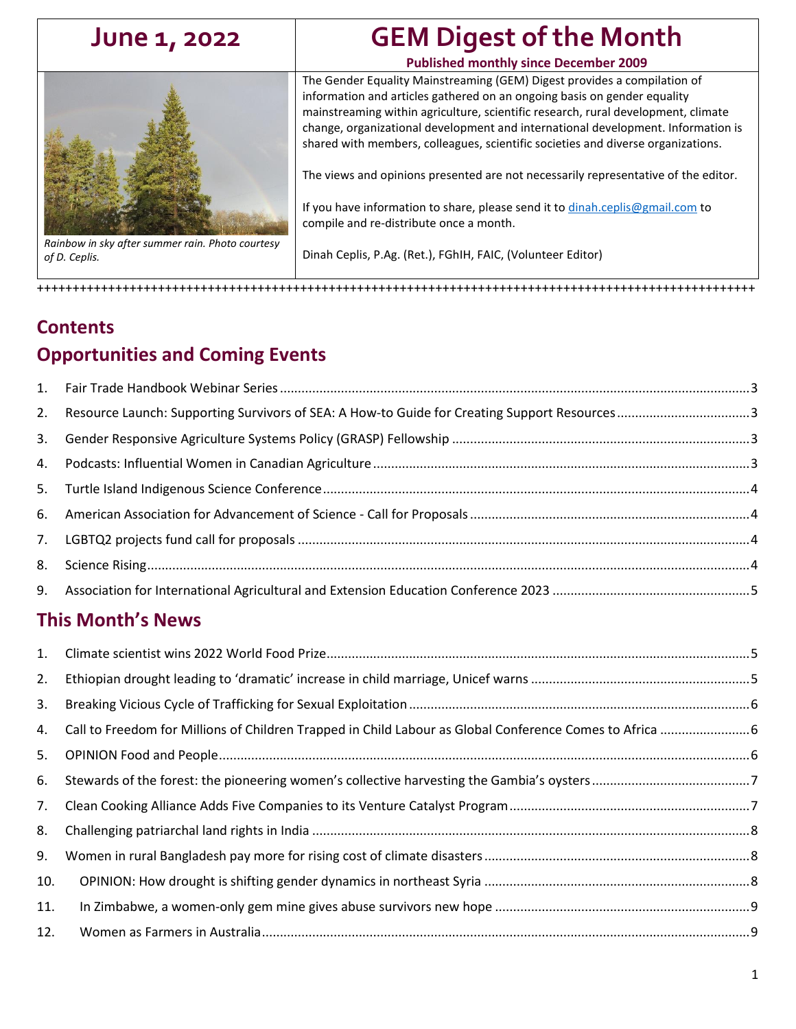<span id="page-0-0"></span>

*Rainbow in sky after summer rain. Photo courtesy of D. Ceplis.*

# **June 1, 2022 GEM Digest of the Month**

#### **Published monthly since December 2009**

The Gender Equality Mainstreaming (GEM) Digest provides a compilation of information and articles gathered on an ongoing basis on gender equality mainstreaming within agriculture, scientific research, rural development, climate change, organizational development and international development. Information is shared with members, colleagues, scientific societies and diverse organizations.

The views and opinions presented are not necessarily representative of the editor.

If you have information to share, please send it to [dinah.ceplis@gmail.com](mailto:dinah.ceplis@gmail.com) to compile and re-distribute once a month.

Dinah Ceplis, P.Ag. (Ret.), FGhIH, FAIC, (Volunteer Editor)

+++++++++++++++++++++++++++++++++++++++++++++++++++++++++++++++++++++++++++++++++++++++++++++++++++++

# **Contents Opportunities and Coming Events**

| 1.  |                                                                                                          |  |
|-----|----------------------------------------------------------------------------------------------------------|--|
| 2.  | Resource Launch: Supporting Survivors of SEA: A How-to Guide for Creating Support Resources3             |  |
| 3.  |                                                                                                          |  |
| 4.  |                                                                                                          |  |
| 5.  |                                                                                                          |  |
| 6.  |                                                                                                          |  |
| 7.  |                                                                                                          |  |
| 8.  |                                                                                                          |  |
| 9.  |                                                                                                          |  |
|     | <b>This Month's News</b>                                                                                 |  |
| 1.  |                                                                                                          |  |
| 2.  |                                                                                                          |  |
| 3.  |                                                                                                          |  |
| 4.  | Call to Freedom for Millions of Children Trapped in Child Labour as Global Conference Comes to Africa  6 |  |
| 5.  |                                                                                                          |  |
| 6.  |                                                                                                          |  |
| 7.  |                                                                                                          |  |
| 8.  |                                                                                                          |  |
| 9.  |                                                                                                          |  |
| 10. |                                                                                                          |  |
| 11. |                                                                                                          |  |
| 12. |                                                                                                          |  |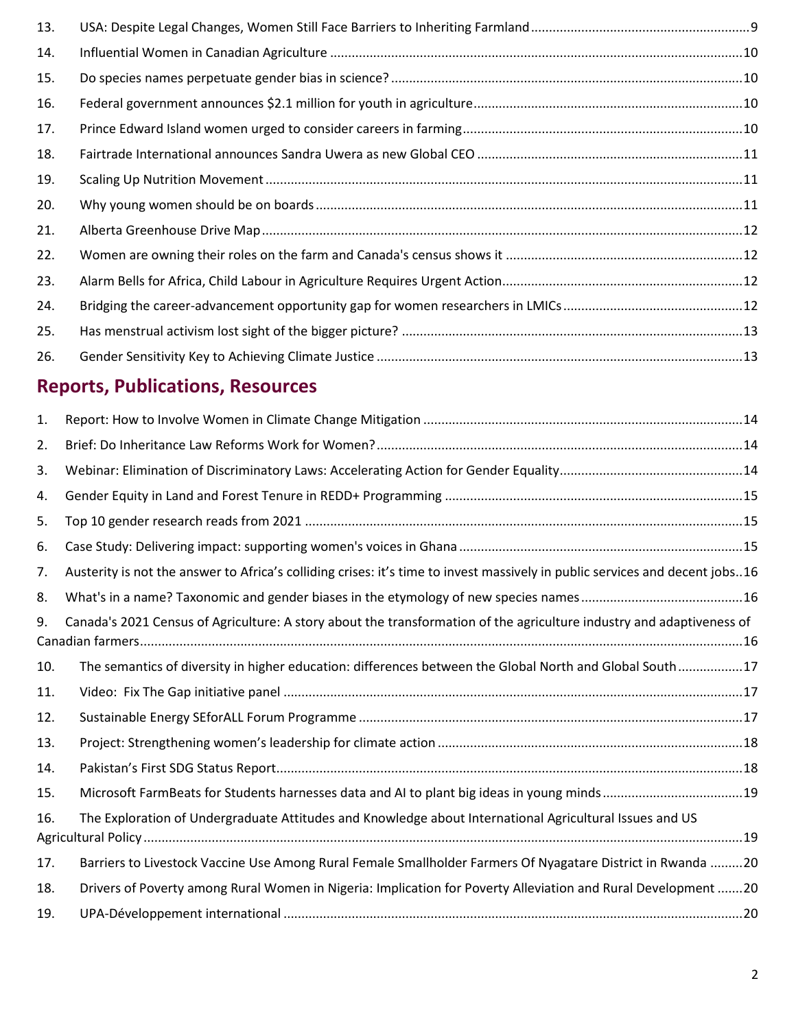| 13. |  |
|-----|--|
| 14. |  |
| 15. |  |
| 16. |  |
| 17. |  |
| 18. |  |
| 19. |  |
| 20. |  |
| 21. |  |
| 22. |  |
| 23. |  |
| 24. |  |
| 25. |  |
| 26. |  |
|     |  |

# **Reports, Publications, Resources**

| 1.  |                                                                                                                              |  |
|-----|------------------------------------------------------------------------------------------------------------------------------|--|
| 2.  |                                                                                                                              |  |
| 3.  |                                                                                                                              |  |
| 4.  |                                                                                                                              |  |
| 5.  |                                                                                                                              |  |
| 6.  |                                                                                                                              |  |
| 7.  | Austerity is not the answer to Africa's colliding crises: it's time to invest massively in public services and decent jobs16 |  |
| 8.  |                                                                                                                              |  |
| 9.  | Canada's 2021 Census of Agriculture: A story about the transformation of the agriculture industry and adaptiveness of        |  |
| 10. | The semantics of diversity in higher education: differences between the Global North and Global South17                      |  |
| 11. |                                                                                                                              |  |
| 12. |                                                                                                                              |  |
| 13. |                                                                                                                              |  |
| 14. |                                                                                                                              |  |
| 15. |                                                                                                                              |  |
| 16. | The Exploration of Undergraduate Attitudes and Knowledge about International Agricultural Issues and US                      |  |
| 17. | Barriers to Livestock Vaccine Use Among Rural Female Smallholder Farmers Of Nyagatare District in Rwanda 20                  |  |
| 18. | Drivers of Poverty among Rural Women in Nigeria: Implication for Poverty Alleviation and Rural Development 20                |  |
| 19. |                                                                                                                              |  |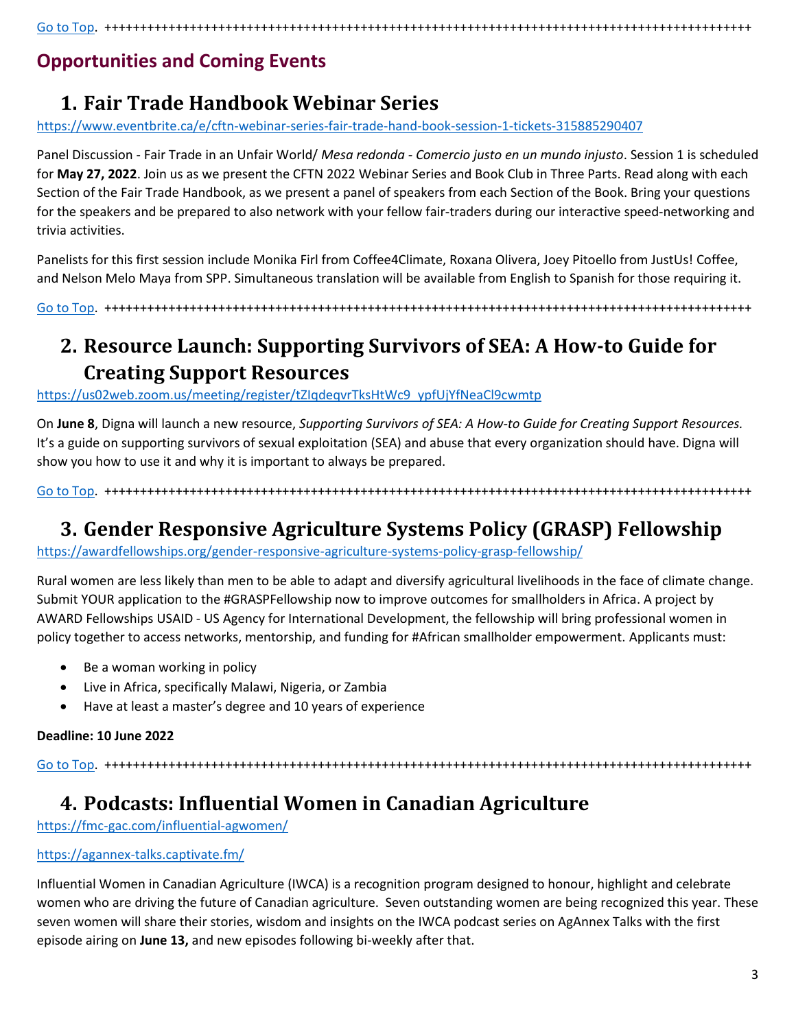[Go to Top.](#page-0-0) +++++++++++++++++++++++++++++++++++++++++++++++++++++++++++++++++++++++++++++++++++++++++++

### **Opportunities and Coming Events**

# <span id="page-2-0"></span>**1. Fair Trade Handbook Webinar Series**

<https://www.eventbrite.ca/e/cftn-webinar-series-fair-trade-hand-book-session-1-tickets-315885290407>

Panel Discussion - Fair Trade in an Unfair World/ *Mesa redonda - Comercio justo en un mundo injusto*. Session 1 is scheduled for **May 27, 2022**. Join us as we present the CFTN 2022 Webinar Series and Book Club in Three Parts. Read along with each Section of the Fair Trade Handbook, as we present a panel of speakers from each Section of the Book. Bring your questions for the speakers and be prepared to also network with your fellow fair-traders during our interactive speed-networking and trivia activities.

Panelists for this first session include Monika Firl from Coffee4Climate, Roxana Olivera, Joey Pitoello from JustUs! Coffee, and Nelson Melo Maya from SPP. Simultaneous translation will be available from English to Spanish for those requiring it.

[Go to Top.](#page-0-0) +++++++++++++++++++++++++++++++++++++++++++++++++++++++++++++++++++++++++++++++++++++++++++

# <span id="page-2-1"></span>**2. Resource Launch: Supporting Survivors of SEA: A How-to Guide for Creating Support Resources**

[https://us02web.zoom.us/meeting/register/tZIqdeqvrTksHtWc9\\_ypfUjYfNeaCl9cwmtp](https://us02web.zoom.us/meeting/register/tZIqdeqvrTksHtWc9_ypfUjYfNeaCl9cwmtp)

On **June 8**, Digna will launch a new resource, *Supporting Survivors of SEA: A How-to Guide for Creating Support Resources.* It's a guide on supporting survivors of sexual exploitation (SEA) and abuse that every organization should have. Digna will show you how to use it and why it is important to always be prepared.

[Go to Top.](#page-0-0) +++++++++++++++++++++++++++++++++++++++++++++++++++++++++++++++++++++++++++++++++++++++++++

### <span id="page-2-2"></span>**3. Gender Responsive Agriculture Systems Policy (GRASP) Fellowship**

<https://awardfellowships.org/gender-responsive-agriculture-systems-policy-grasp-fellowship/>

Rural women are less likely than men to be able to adapt and diversify agricultural livelihoods in the face of climate change. Submit YOUR application to the #GRASPFellowship now to improve outcomes for smallholders in Africa. A project by AWARD Fellowships USAID - US Agency for International Development, the fellowship will bring professional women in policy together to access networks, mentorship, and funding for #African smallholder empowerment. Applicants must:

- Be a woman working in policy
- Live in Africa, specifically Malawi, Nigeria, or Zambia
- Have at least a master's degree and 10 years of experience

#### **Deadline: 10 June 2022**

[Go to Top.](#page-0-0) +++++++++++++++++++++++++++++++++++++++++++++++++++++++++++++++++++++++++++++++++++++++++++

### <span id="page-2-3"></span>**4. Podcasts: Influential Women in Canadian Agriculture**

<https://fmc-gac.com/influential-agwomen/>

#### <https://agannex-talks.captivate.fm/>

Influential Women in Canadian Agriculture (IWCA) is a recognition program designed to honour, highlight and celebrate women who are driving the future of Canadian agriculture. Seven outstanding women are being recognized this year. These seven women will share their stories, wisdom and insights on the IWCA podcast series on AgAnnex Talks with the first episode airing on **June 13,** and new episodes following bi-weekly after that.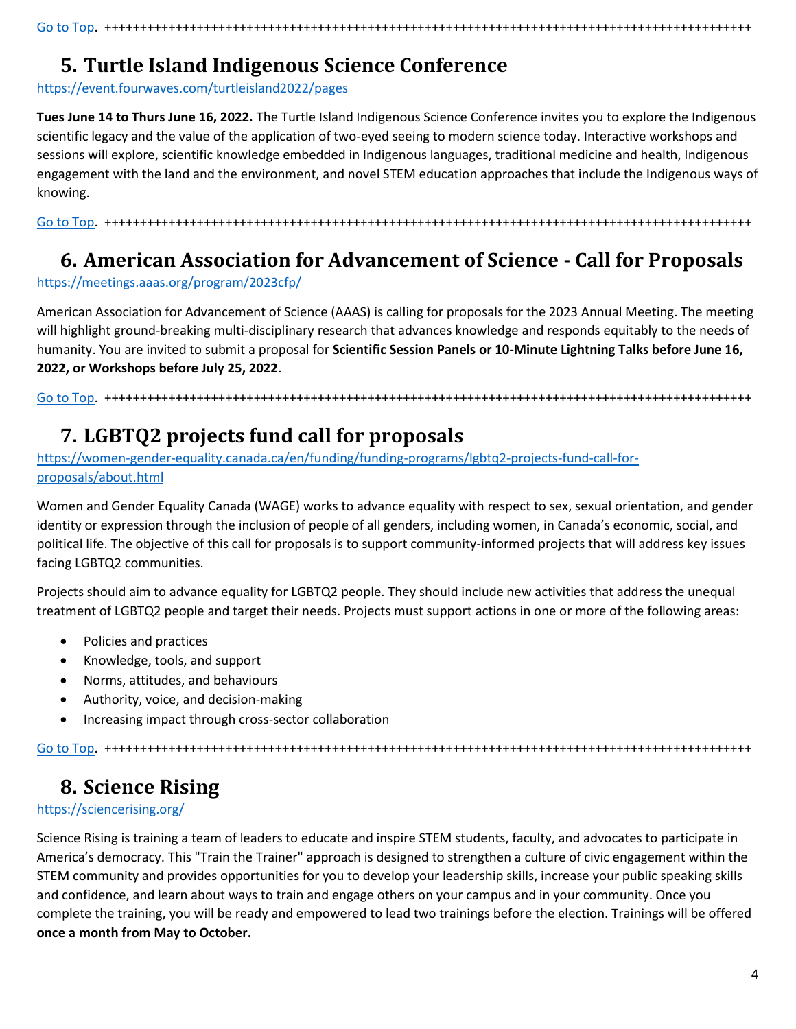[Go to Top.](#page-0-0) +++++++++++++++++++++++++++++++++++++++++++++++++++++++++++++++++++++++++++++++++++++++++++

### <span id="page-3-0"></span>**5. Turtle Island Indigenous Science Conference**

<https://event.fourwaves.com/turtleisland2022/pages>

**Tues June 14 to Thurs June 16, 2022.** The Turtle Island Indigenous Science Conference invites you to explore the Indigenous scientific legacy and the value of the application of two-eyed seeing to modern science today. Interactive workshops and sessions will explore, scientific knowledge embedded in Indigenous languages, traditional medicine and health, Indigenous engagement with the land and the environment, and novel STEM education approaches that include the Indigenous ways of knowing.

[Go to Top.](#page-0-0) +++++++++++++++++++++++++++++++++++++++++++++++++++++++++++++++++++++++++++++++++++++++++++

#### <span id="page-3-1"></span>**6. American Association for Advancement of Science - Call for Proposals**

<https://meetings.aaas.org/program/2023cfp/>

American Association for Advancement of Science (AAAS) is calling for proposals for the 2023 Annual Meeting. The meeting will highlight ground-breaking multi-disciplinary research that advances knowledge and responds equitably to the needs of humanity. You are invited to submit a proposal for **Scientific Session Panels or 10-Minute Lightning Talks before June 16, 2022, or Workshops before July 25, 2022**.

[Go to Top.](#page-0-0) +++++++++++++++++++++++++++++++++++++++++++++++++++++++++++++++++++++++++++++++++++++++++++

# <span id="page-3-2"></span>**7. LGBTQ2 projects fund call for proposals**

[https://women-gender-equality.canada.ca/en/funding/funding-programs/lgbtq2-projects-fund-call-for](https://women-gender-equality.canada.ca/en/funding/funding-programs/lgbtq2-projects-fund-call-for-proposals/about.html)[proposals/about.html](https://women-gender-equality.canada.ca/en/funding/funding-programs/lgbtq2-projects-fund-call-for-proposals/about.html)

Women and Gender Equality Canada (WAGE) works to advance equality with respect to sex, sexual orientation, and gender identity or expression through the inclusion of people of all genders, including women, in Canada's economic, social, and political life. The objective of this call for proposals is to support community-informed projects that will address key issues facing LGBTQ2 communities.

Projects should aim to advance equality for LGBTQ2 people. They should include new activities that address the unequal treatment of LGBTQ2 people and target their needs. Projects must support actions in one or more of the following areas:

- Policies and practices
- Knowledge, tools, and support
- Norms, attitudes, and behaviours
- Authority, voice, and decision-making
- Increasing impact through cross-sector collaboration

[Go to Top.](#page-0-0) +++++++++++++++++++++++++++++++++++++++++++++++++++++++++++++++++++++++++++++++++++++++++++

# <span id="page-3-3"></span>**8. Science Rising**

#### <https://sciencerising.org/>

Science Rising is training a team of leaders to educate and inspire STEM students, faculty, and advocates to participate in America's democracy. This "Train the Trainer" approach is designed to strengthen a culture of civic engagement within the STEM community and provides opportunities for you to develop your leadership skills, increase your public speaking skills and confidence, and learn about ways to train and engage others on your campus and in your community. Once you complete the training, you will be ready and empowered to lead two trainings before the election. Trainings will be offered **once a month from May to October.**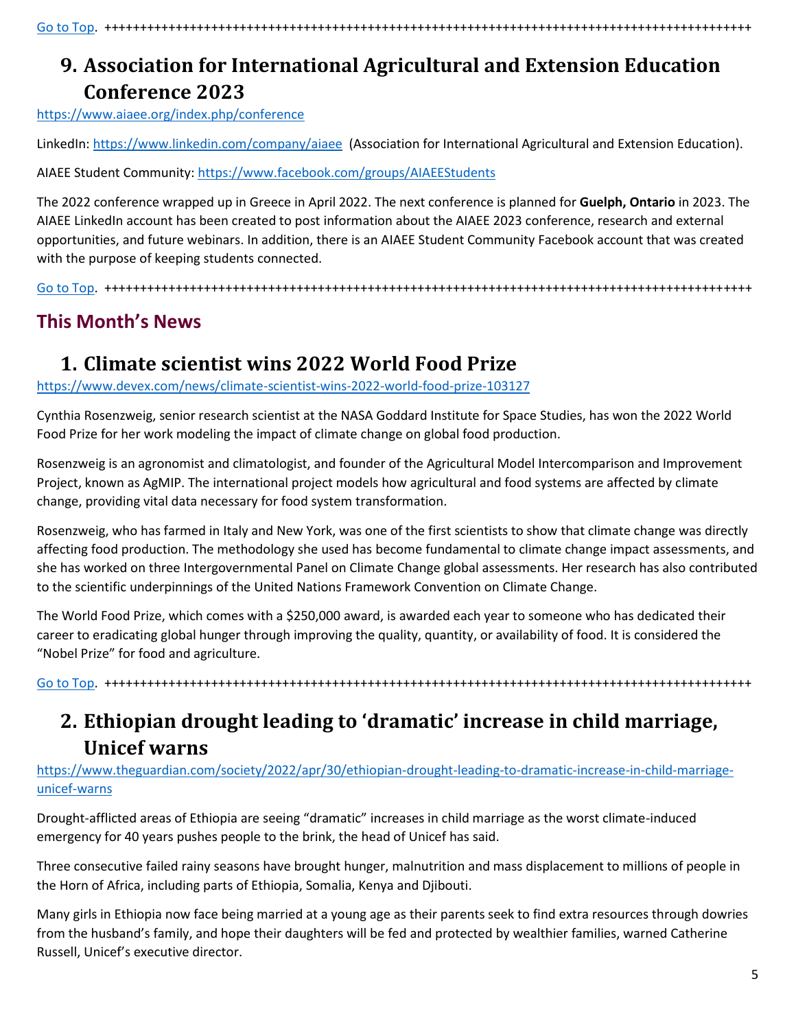<span id="page-4-0"></span>**9. Association for International Agricultural and Extension Education Conference 2023**

<https://www.aiaee.org/index.php/conference>

LinkedIn[: https://www.linkedin.com/company/aiaee](https://www.linkedin.com/company/aiaee) (Association for International Agricultural and Extension Education).

AIAEE Student Community:<https://www.facebook.com/groups/AIAEEStudents>

The 2022 conference wrapped up in Greece in April 2022. The next conference is planned for **Guelph, Ontario** in 2023. The AIAEE LinkedIn account has been created to post information about the AIAEE 2023 conference, research and external opportunities, and future webinars. In addition, there is an AIAEE Student Community Facebook account that was created with the purpose of keeping students connected.

[Go to Top.](#page-0-0) +++++++++++++++++++++++++++++++++++++++++++++++++++++++++++++++++++++++++++++++++++++++++++

### **This Month's News**

### <span id="page-4-1"></span>**1. Climate scientist wins 2022 World Food Prize**

<https://www.devex.com/news/climate-scientist-wins-2022-world-food-prize-103127>

Cynthia Rosenzweig, senior research scientist at the NASA Goddard Institute for Space Studies, has won the 2022 World Food Prize for her work modeling the impact of climate change on global food production.

Rosenzweig is an agronomist and climatologist, and founder of the Agricultural Model Intercomparison and Improvement Project, known as AgMIP. The international project models how agricultural and food systems are affected by climate change, providing vital data necessary for food system transformation.

Rosenzweig, who has farmed in Italy and New York, was one of the first scientists to show that climate change was directly affecting food production. The methodology she used has become fundamental to climate change impact assessments, and she has worked on three Intergovernmental Panel on Climate Change global assessments. Her research has also contributed to the scientific underpinnings of the United Nations Framework Convention on Climate Change.

The World Food Prize, which comes with a \$250,000 award, is awarded each year to someone who has dedicated their career to eradicating global hunger through improving the quality, quantity, or availability of food. It is considered the "Nobel Prize" for food and agriculture.

[Go to Top.](#page-0-0) +++++++++++++++++++++++++++++++++++++++++++++++++++++++++++++++++++++++++++++++++++++++++++

# <span id="page-4-2"></span>**2. Ethiopian drought leading to 'dramatic' increase in child marriage, Unicef warns**

[https://www.theguardian.com/society/2022/apr/30/ethiopian-drought-leading-to-dramatic-increase-in-child-marriage](https://www.theguardian.com/society/2022/apr/30/ethiopian-drought-leading-to-dramatic-increase-in-child-marriage-unicef-warns)[unicef-warns](https://www.theguardian.com/society/2022/apr/30/ethiopian-drought-leading-to-dramatic-increase-in-child-marriage-unicef-warns)

Drought-afflicted areas of Ethiopia are seeing "dramatic" increases in child marriage as the worst climate-induced emergency for 40 years pushes people to the brink, the head of Unicef has said.

Three consecutive failed rainy seasons have brought hunger, malnutrition and mass displacement to millions of people in the Horn of Africa, including parts of Ethiopia, Somalia, Kenya and Djibouti.

Many girls in Ethiopia now face being married at a young age as their parents seek to find extra resources through dowries from the husband's family, and hope their daughters will be fed and protected by wealthier families, warned Catherine Russell, Unicef's executive director.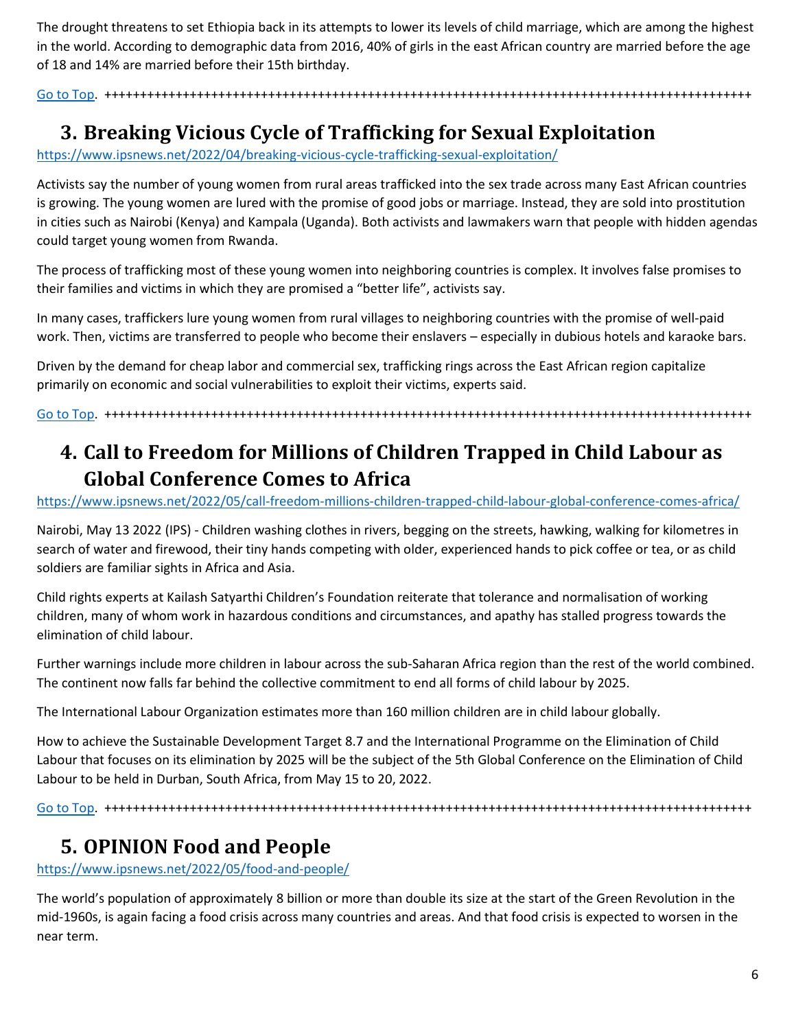The drought threatens to set Ethiopia back in its attempts to lower its levels of child marriage, which are among the highest in the world. According to demographic data from 2016, 40% of girls in the east African country are married before the age of 18 and 14% are married before their 15th birthday.

[Go to Top.](#page-0-0) +++++++++++++++++++++++++++++++++++++++++++++++++++++++++++++++++++++++++++++++++++++++++++

### <span id="page-5-0"></span>**3. Breaking Vicious Cycle of Trafficking for Sexual Exploitation**

<https://www.ipsnews.net/2022/04/breaking-vicious-cycle-trafficking-sexual-exploitation/>

Activists say the number of young women from rural areas trafficked into the sex trade across many East African countries is growing. The young women are lured with the promise of good jobs or marriage. Instead, they are sold into prostitution in cities such as Nairobi (Kenya) and Kampala (Uganda). Both activists and lawmakers warn that people with hidden agendas could target young women from Rwanda.

The process of trafficking most of these young women into neighboring countries is complex. It involves false promises to their families and victims in which they are promised a "better life", activists say.

In many cases, traffickers lure young women from rural villages to neighboring countries with the promise of well-paid work. Then, victims are transferred to people who become their enslavers – especially in dubious hotels and karaoke bars.

Driven by the demand for cheap labor and commercial sex, trafficking rings across the East African region capitalize primarily on economic and social vulnerabilities to exploit their victims, experts said.

[Go to Top.](#page-0-0) +++++++++++++++++++++++++++++++++++++++++++++++++++++++++++++++++++++++++++++++++++++++++++

# <span id="page-5-1"></span>**4. Call to Freedom for Millions of Children Trapped in Child Labour as Global Conference Comes to Africa**

<https://www.ipsnews.net/2022/05/call-freedom-millions-children-trapped-child-labour-global-conference-comes-africa/>

Nairobi, May 13 2022 (IPS) - Children washing clothes in rivers, begging on the streets, hawking, walking for kilometres in search of water and firewood, their tiny hands competing with older, experienced hands to pick coffee or tea, or as child soldiers are familiar sights in Africa and Asia.

Child rights experts at Kailash Satyarthi Children's Foundation reiterate that tolerance and normalisation of working children, many of whom work in hazardous conditions and circumstances, and apathy has stalled progress towards the elimination of child labour.

Further warnings include more children in labour across the sub-Saharan Africa region than the rest of the world combined. The continent now falls far behind the collective commitment to end all forms of child labour by 2025.

The International Labour Organization estimates more than 160 million children are in child labour globally.

How to achieve the Sustainable Development Target 8.7 and the International Programme on the Elimination of Child Labour that focuses on its elimination by 2025 will be the subject of the 5th Global Conference on the Elimination of Child Labour to be held in Durban, South Africa, from May 15 to 20, 2022.

[Go to Top.](#page-0-0) +++++++++++++++++++++++++++++++++++++++++++++++++++++++++++++++++++++++++++++++++++++++++++

#### <span id="page-5-2"></span>**5. OPINION Food and People**

<https://www.ipsnews.net/2022/05/food-and-people/>

The world's population of approximately 8 billion or more than double its size at the start of the Green Revolution in the mid-1960s, is again facing a food crisis across many countries and areas. And that food crisis is expected to worsen in the near term.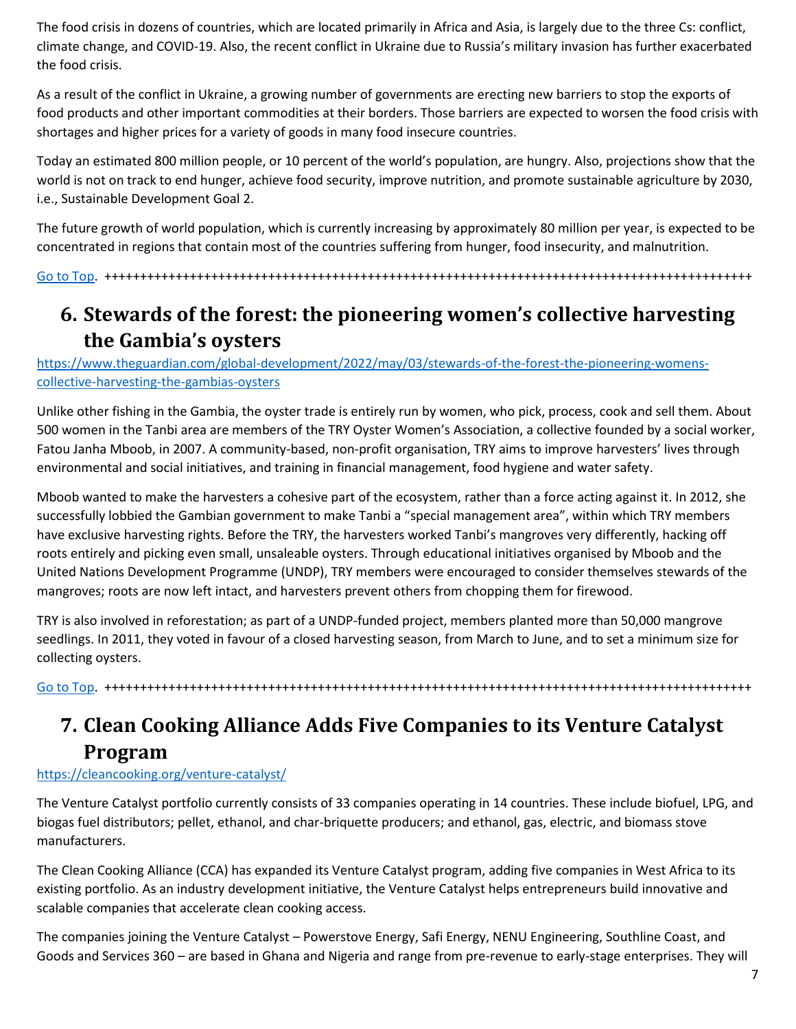The food crisis in dozens of countries, which are located primarily in Africa and Asia, is largely due to the three Cs: conflict, climate change, and COVID-19. Also, the recent conflict in Ukraine due to Russia's military invasion has further exacerbated the food crisis.

As a result of the conflict in Ukraine, a growing number of governments are erecting new barriers to stop the exports of food products and other important commodities at their borders. Those barriers are expected to worsen the food crisis with shortages and higher prices for a variety of goods in many food insecure countries.

Today an estimated 800 million people, or 10 percent of the world's population, are hungry. Also, projections show that the world is not on track to end hunger, achieve food security, improve nutrition, and promote sustainable agriculture by 2030, i.e., Sustainable Development Goal 2.

The future growth of world population, which is currently increasing by approximately 80 million per year, is expected to be concentrated in regions that contain most of the countries suffering from hunger, food insecurity, and malnutrition.

[Go to Top.](#page-0-0) +++++++++++++++++++++++++++++++++++++++++++++++++++++++++++++++++++++++++++++++++++++++++++

### <span id="page-6-0"></span>**6. Stewards of the forest: the pioneering women's collective harvesting the Gambia's oysters**

[https://www.theguardian.com/global-development/2022/may/03/stewards-of-the-forest-the-pioneering-womens](https://www.theguardian.com/global-development/2022/may/03/stewards-of-the-forest-the-pioneering-womens-collective-harvesting-the-gambias-oysters)[collective-harvesting-the-gambias-oysters](https://www.theguardian.com/global-development/2022/may/03/stewards-of-the-forest-the-pioneering-womens-collective-harvesting-the-gambias-oysters)

Unlike other fishing in the Gambia, the oyster trade is entirely run by women, who pick, process, cook and sell them. About 500 women in the Tanbi area are members of the TRY Oyster Women's Association, a collective founded by a social worker, Fatou Janha Mboob, in 2007. A community-based, non-profit organisation, TRY aims to improve harvesters' lives through environmental and social initiatives, and training in financial management, food hygiene and water safety.

Mboob wanted to make the harvesters a cohesive part of the ecosystem, rather than a force acting against it. In 2012, she successfully lobbied the Gambian government to make Tanbi a "special management area", within which TRY members have exclusive harvesting rights. Before the TRY, the harvesters worked Tanbi's mangroves very differently, hacking off roots entirely and picking even small, unsaleable oysters. Through educational initiatives organised by Mboob and the United Nations Development Programme (UNDP), TRY members were encouraged to consider themselves stewards of the mangroves; roots are now left intact, and harvesters prevent others from chopping them for firewood.

TRY is also involved in reforestation; as part of a UNDP-funded project, members planted more than 50,000 mangrove seedlings. In 2011, they voted in favour of a closed harvesting season, from March to June, and to set a minimum size for collecting oysters.

[Go to Top.](#page-0-0) +++++++++++++++++++++++++++++++++++++++++++++++++++++++++++++++++++++++++++++++++++++++++++

# <span id="page-6-1"></span>**7. Clean Cooking Alliance Adds Five Companies to its Venture Catalyst Program**

#### <https://cleancooking.org/venture-catalyst/>

The Venture Catalyst portfolio currently consists of 33 companies operating in 14 countries. These include biofuel, LPG, and biogas fuel distributors; pellet, ethanol, and char-briquette producers; and ethanol, gas, electric, and biomass stove manufacturers.

The Clean Cooking Alliance (CCA) has expanded its Venture Catalyst program, adding five companies in West Africa to its existing portfolio. As an industry development initiative, the Venture Catalyst helps entrepreneurs build innovative and scalable companies that accelerate clean cooking access.

The companies joining the Venture Catalyst – Powerstove Energy, Safi Energy, NENU Engineering, Southline Coast, and Goods and Services 360 – are based in Ghana and Nigeria and range from pre-revenue to early-stage enterprises. They will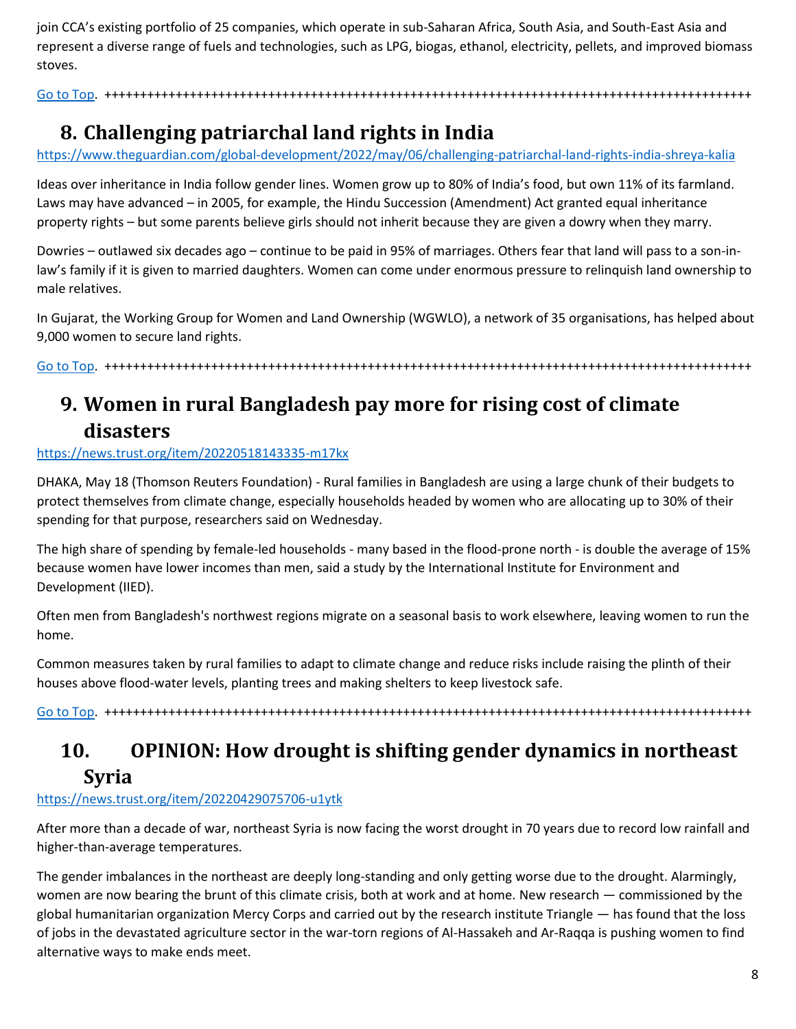join CCA's existing portfolio of 25 companies, which operate in sub-Saharan Africa, South Asia, and South-East Asia and represent a diverse range of fuels and technologies, such as LPG, biogas, ethanol, electricity, pellets, and improved biomass stoves.

[Go to Top.](#page-0-0) +++++++++++++++++++++++++++++++++++++++++++++++++++++++++++++++++++++++++++++++++++++++++++

### <span id="page-7-0"></span>**8. Challenging patriarchal land rights in India**

<https://www.theguardian.com/global-development/2022/may/06/challenging-patriarchal-land-rights-india-shreya-kalia>

Ideas over inheritance in India follow gender lines. Women grow up to 80% of India's food, but own 11% of its farmland. Laws may have advanced – in 2005, for example, the Hindu Succession (Amendment) Act granted equal inheritance property rights – but some parents believe girls should not inherit because they are given a dowry when they marry.

Dowries – outlawed six decades ago – continue to be paid in 95% of marriages. Others fear that land will pass to a son-inlaw's family if it is given to married daughters. Women can come under enormous pressure to relinquish land ownership to male relatives.

In Gujarat, the Working Group for Women and Land Ownership (WGWLO), a network of 35 organisations, has helped about 9,000 women to secure land rights.

Go [to Top.](#page-0-0) +++++++++++++++++++++++++++++++++++++++++++++++++++++++++++++++++++++++++++++++++++++++++++

# <span id="page-7-1"></span>**9. Women in rural Bangladesh pay more for rising cost of climate disasters**

#### <https://news.trust.org/item/20220518143335-m17kx>

DHAKA, May 18 (Thomson Reuters Foundation) - Rural families in Bangladesh are using a large chunk of their budgets to protect themselves from climate change, especially households headed by women who are allocating up to 30% of their spending for that purpose, researchers said on Wednesday.

The high share of spending by female-led households - many based in the flood-prone north - is double the average of 15% because women have lower incomes than men, said a study by the International Institute for Environment and Development (IIED).

Often men from Bangladesh's northwest regions migrate on a seasonal basis to work elsewhere, leaving women to run the home.

Common measures taken by rural families to adapt to climate change and reduce risks include raising the plinth of their houses above flood-water levels, planting trees and making shelters to keep livestock safe.

[Go to Top.](#page-0-0) +++++++++++++++++++++++++++++++++++++++++++++++++++++++++++++++++++++++++++++++++++++++++++

# <span id="page-7-2"></span>**10. OPINION: How drought is shifting gender dynamics in northeast Syria**

#### <https://news.trust.org/item/20220429075706-u1ytk>

After more than a decade of war, northeast Syria is now facing the worst drought in 70 years due to record low rainfall and higher-than-average temperatures.

The gender imbalances in the northeast are deeply long-standing and only getting worse due to the drought. Alarmingly, women are now bearing the brunt of this climate crisis, both at work and at home. New research — commissioned by the global humanitarian organization Mercy Corps and carried out by the research institute Triangle — has found that the loss of jobs in the devastated agriculture sector in the war-torn regions of Al-Hassakeh and Ar-Raqqa is pushing women to find alternative ways to make ends meet.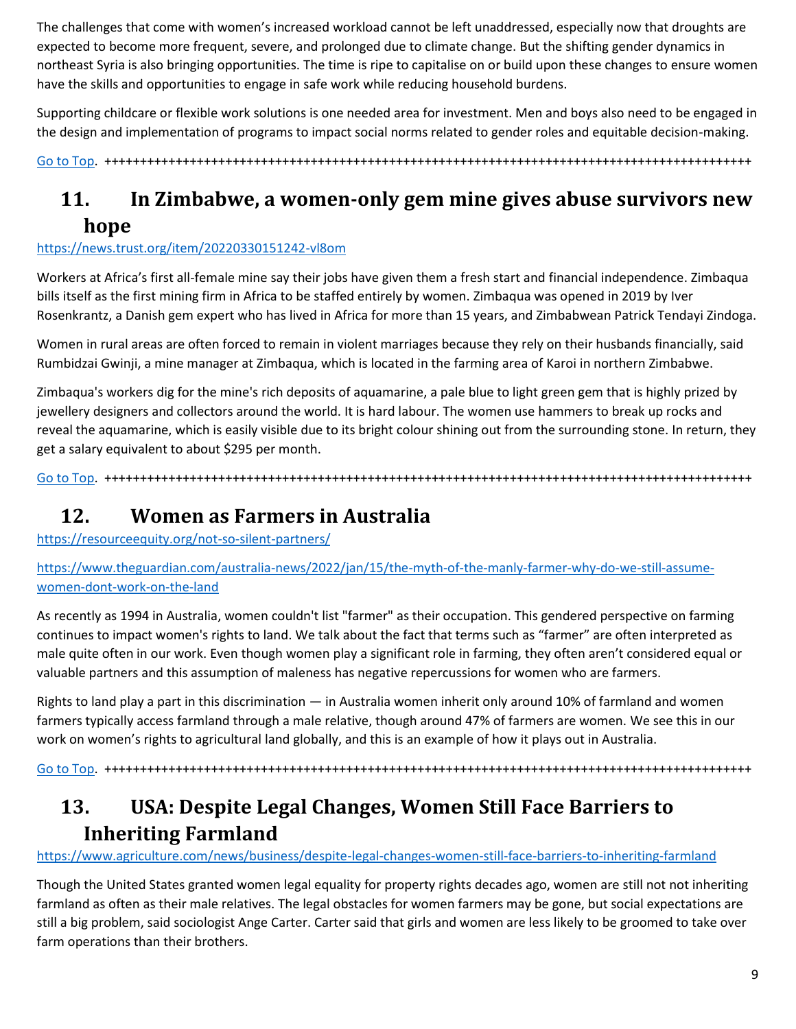The challenges that come with women's increased workload cannot be left unaddressed, especially now that droughts are expected to become more frequent, severe, and prolonged due to climate change. But the shifting gender dynamics in northeast Syria is also bringing opportunities. The time is ripe to capitalise on or build upon these changes to ensure women have the skills and opportunities to engage in safe work while reducing household burdens.

Supporting childcare or flexible work solutions is one needed area for investment. Men and boys also need to be engaged in the design and implementation of programs to impact social norms related to gender roles and equitable decision-making.

[Go to Top.](#page-0-0) +++++++++++++++++++++++++++++++++++++++++++++++++++++++++++++++++++++++++++++++++++++++++++

# <span id="page-8-0"></span>**11. In Zimbabwe, a women-only gem mine gives abuse survivors new hope**

#### <https://news.trust.org/item/20220330151242-vl8om>

Workers at Africa's first all-female mine say their jobs have given them a fresh start and financial independence. Zimbaqua bills itself as the first mining firm in Africa to be staffed entirely by women. Zimbaqua was opened in 2019 by Iver Rosenkrantz, a Danish gem expert who has lived in Africa for more than 15 years, and Zimbabwean Patrick Tendayi Zindoga.

Women in rural areas are often forced to remain in violent marriages because they rely on their husbands financially, said Rumbidzai Gwinji, a mine manager at Zimbaqua, which is located in the farming area of Karoi in northern Zimbabwe.

Zimbaqua's workers dig for the mine's rich deposits of aquamarine, a pale blue to light green gem that is highly prized by jewellery designers and collectors around the world. It is hard labour. The women use hammers to break up rocks and reveal the aquamarine, which is easily visible due to its bright colour shining out from the surrounding stone. In return, they get a salary equivalent to about \$295 per month.

[Go to Top.](#page-0-0) +++++++++++++++++++++++++++++++++++++++++++++++++++++++++++++++++++++++++++++++++++++++++++

#### <span id="page-8-1"></span>**12. Women as Farmers in Australia**

<https://resourceequity.org/not-so-silent-partners/>

[https://www.theguardian.com/australia-news/2022/jan/15/the-myth-of-the-manly-farmer-why-do-we-still-assume](https://www.theguardian.com/australia-news/2022/jan/15/the-myth-of-the-manly-farmer-why-do-we-still-assume-women-dont-work-on-the-land)[women-dont-work-on-the-land](https://www.theguardian.com/australia-news/2022/jan/15/the-myth-of-the-manly-farmer-why-do-we-still-assume-women-dont-work-on-the-land)

As recently as 1994 in Australia, women couldn't list "farmer" as their occupation. This gendered perspective on farming continues to impact women's rights to land. We talk about the fact that terms such as "farmer" are often interpreted as male quite often in our work. Even though women play a significant role in farming, they often aren't considered equal or valuable partners and this assumption of maleness has negative repercussions for women who are farmers.

Rights to land play a part in this discrimination — in Australia women inherit only around 10% of farmland and women farmers typically access farmland through a male relative, though around 47% of farmers are women. We see this in our work on women's rights to agricultural land globally, and this is an example of how it plays out in Australia.

[Go to Top.](#page-0-0) +++++++++++++++++++++++++++++++++++++++++++++++++++++++++++++++++++++++++++++++++++++++++++

### <span id="page-8-2"></span>**13. USA: Despite Legal Changes, Women Still Face Barriers to Inheriting Farmland**

#### <https://www.agriculture.com/news/business/despite-legal-changes-women-still-face-barriers-to-inheriting-farmland>

Though the United States granted women legal equality for property rights decades ago, women are still not not inheriting farmland as often as their male relatives. The legal obstacles for women farmers may be gone, but social expectations are still a big problem, said sociologist Ange Carter. Carter said that girls and women are less likely to be groomed to take over farm operations than their brothers.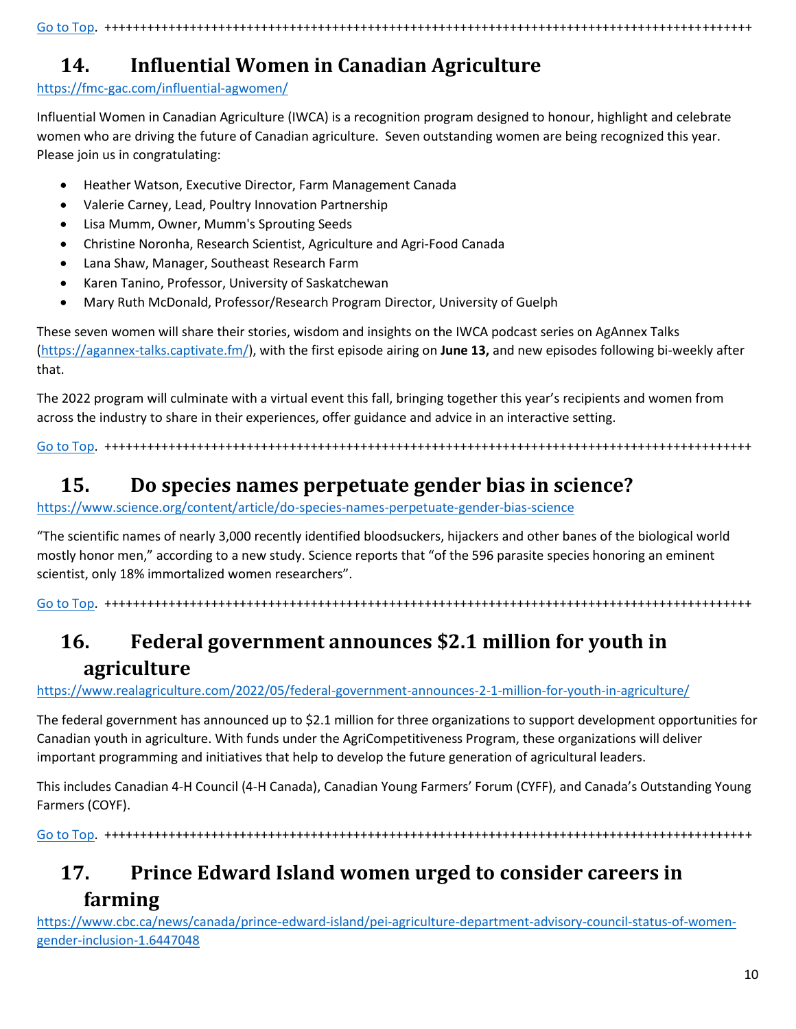#### [Go to Top.](#page-0-0) +++++++++++++++++++++++++++++++++++++++++++++++++++++++++++++++++++++++++++++++++++++++++++

# <span id="page-9-0"></span>**14. Influential Women in Canadian Agriculture**

<https://fmc-gac.com/influential-agwomen/>

Influential Women in Canadian Agriculture (IWCA) is a recognition program designed to honour, highlight and celebrate women who are driving the future of Canadian agriculture. Seven outstanding women are being recognized this year. Please join us in congratulating:

- Heather Watson, Executive Director, Farm Management Canada
- Valerie Carney, Lead, Poultry Innovation Partnership
- Lisa Mumm, Owner, Mumm's Sprouting Seeds
- Christine Noronha, Research Scientist, Agriculture and Agri-Food Canada
- Lana Shaw, Manager, Southeast Research Farm
- Karen Tanino, Professor, University of Saskatchewan
- Mary Ruth McDonald, Professor/Research Program Director, University of Guelph

These seven women will share their stories, wisdom and insights on the IWCA podcast series on AgAnnex Talks [\(https://agannex-talks.captivate.fm/\)](https://agannex-talks.captivate.fm/), with the first episode airing on **June 13,** and new episodes following bi-weekly after that.

The 2022 program will culminate with a virtual event this fall, bringing together this year's recipients and women from across the industry to share in their experiences, offer guidance and advice in an interactive setting.

[Go to Top.](#page-0-0) +++++++++++++++++++++++++++++++++++++++++++++++++++++++++++++++++++++++++++++++++++++++++++

## <span id="page-9-1"></span>**15. Do species names perpetuate gender bias in science?**

#### <https://www.science.org/content/article/do-species-names-perpetuate-gender-bias-science>

"The scientific names of nearly 3,000 recently identified bloodsuckers, hijackers and other banes of the biological world mostly honor men," according to a new study. Science reports that "of the 596 parasite species honoring an eminent scientist, only 18% immortalized women researchers".

[Go to Top.](#page-0-0) +++++++++++++++++++++++++++++++++++++++++++++++++++++++++++++++++++++++++++++++++++++++++++

# <span id="page-9-2"></span>**16. Federal government announces \$2.1 million for youth in agriculture**

#### <https://www.realagriculture.com/2022/05/federal-government-announces-2-1-million-for-youth-in-agriculture/>

The federal government has announced up to \$2.1 million for three organizations to support development opportunities for Canadian youth in agriculture. With funds under the AgriCompetitiveness Program, these organizations will deliver important programming and initiatives that help to develop the future generation of agricultural leaders.

This includes Canadian 4-H Council (4-H Canada), Canadian Young Farmers' Forum (CYFF), and Canada's Outstanding Young Farmers (COYF).

[Go to Top.](#page-0-0) +++++++++++++++++++++++++++++++++++++++++++++++++++++++++++++++++++++++++++++++++++++++++++

## <span id="page-9-3"></span>**17. Prince Edward Island women urged to consider careers in farming**

[https://www.cbc.ca/news/canada/prince-edward-island/pei-agriculture-department-advisory-council-status-of-women](https://www.cbc.ca/news/canada/prince-edward-island/pei-agriculture-department-advisory-council-status-of-women-gender-inclusion-1.6447048)[gender-inclusion-1.6447048](https://www.cbc.ca/news/canada/prince-edward-island/pei-agriculture-department-advisory-council-status-of-women-gender-inclusion-1.6447048)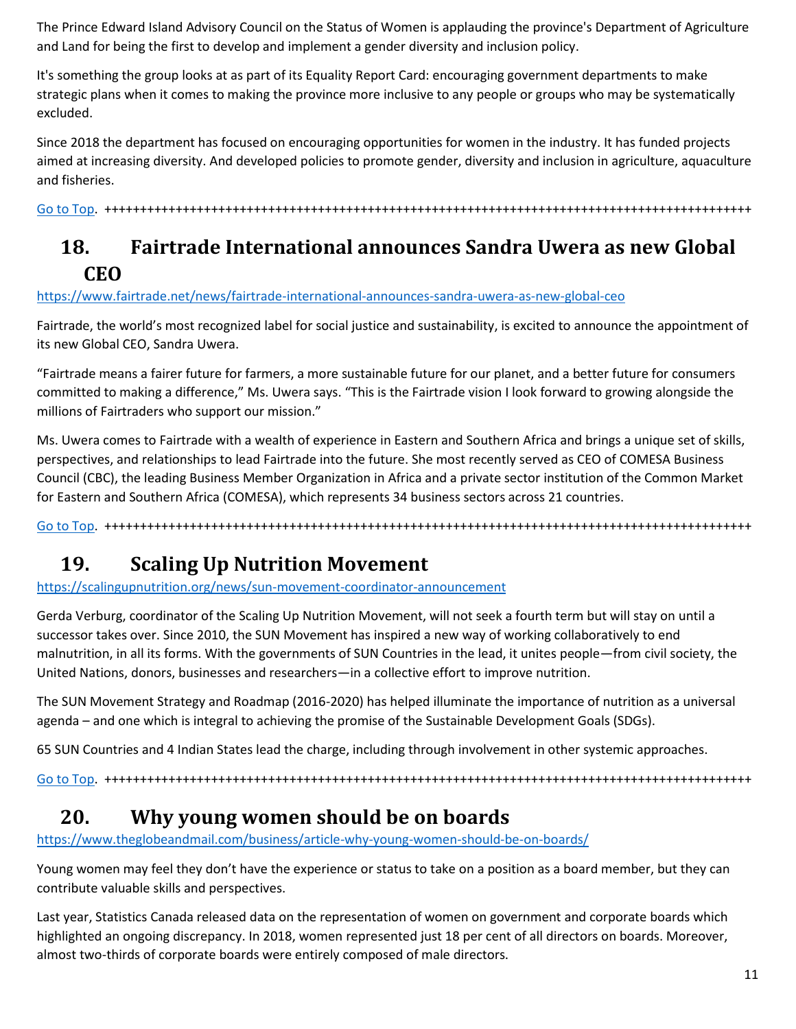The Prince Edward Island Advisory Council on the Status of Women is applauding the province's Department of Agriculture and Land for being the first to develop and implement a gender diversity and inclusion policy.

It's something the group looks at as part of its Equality Report Card: encouraging government departments to make strategic plans when it comes to making the province more inclusive to any people or groups who may be systematically excluded.

Since 2018 the department has focused on encouraging opportunities for women in the industry. It has funded projects aimed at increasing diversity. And developed policies to promote gender, diversity and inclusion in agriculture, aquaculture and fisheries.

[Go to Top.](#page-0-0) +++++++++++++++++++++++++++++++++++++++++++++++++++++++++++++++++++++++++++++++++++++++++++

### <span id="page-10-0"></span>**18. Fairtrade International announces Sandra Uwera as new Global CEO**

<https://www.fairtrade.net/news/fairtrade-international-announces-sandra-uwera-as-new-global-ceo>

Fairtrade, the world's most recognized label for social justice and sustainability, is excited to announce the appointment of its new Global CEO, Sandra Uwera.

"Fairtrade means a fairer future for farmers, a more sustainable future for our planet, and a better future for consumers committed to making a difference," Ms. Uwera says. "This is the Fairtrade vision I look forward to growing alongside the millions of Fairtraders who support our mission."

Ms. Uwera comes to Fairtrade with a wealth of experience in Eastern and Southern Africa and brings a unique set of skills, perspectives, and relationships to lead Fairtrade into the future. She most recently served as CEO of COMESA Business Council (CBC), the leading Business Member Organization in Africa and a private sector institution of the Common Market for Eastern and Southern Africa (COMESA), which represents 34 business sectors across 21 countries.

[Go to Top.](#page-0-0) +++++++++++++++++++++++++++++++++++++++++++++++++++++++++++++++++++++++++++++++++++++++++++

### <span id="page-10-1"></span>**19. Scaling Up Nutrition Movement**

<https://scalingupnutrition.org/news/sun-movement-coordinator-announcement>

Gerda Verburg, coordinator of the Scaling Up Nutrition Movement, will not seek a fourth term but will stay on until a successor takes over. Since 2010, the SUN Movement has inspired a new way of working collaboratively to end malnutrition, in all its forms. With the governments of SUN Countries in the lead, it unites people—from civil society, the United Nations, donors, businesses and researchers—in a collective effort to improve nutrition.

The SUN Movement Strategy and Roadmap (2016-2020) has helped illuminate the importance of nutrition as a universal agenda – and one which is integral to achieving the promise of the Sustainable Development Goals (SDGs).

65 SUN Countries and 4 Indian States lead the charge, including through involvement in other systemic approaches.

[Go to Top.](#page-0-0) +++++++++++++++++++++++++++++++++++++++++++++++++++++++++++++++++++++++++++++++++++++++++++

#### <span id="page-10-2"></span>**20. Why young women should be on boards**

<https://www.theglobeandmail.com/business/article-why-young-women-should-be-on-boards/>

Young women may feel they don't have the experience or status to take on a position as a board member, but they can contribute valuable skills and perspectives.

Last year, Statistics Canada released data on the representation of women on government and corporate boards which highlighted an ongoing discrepancy. In 2018, women represented just 18 per cent of all directors on boards. Moreover, almost two-thirds of corporate boards were entirely composed of male directors.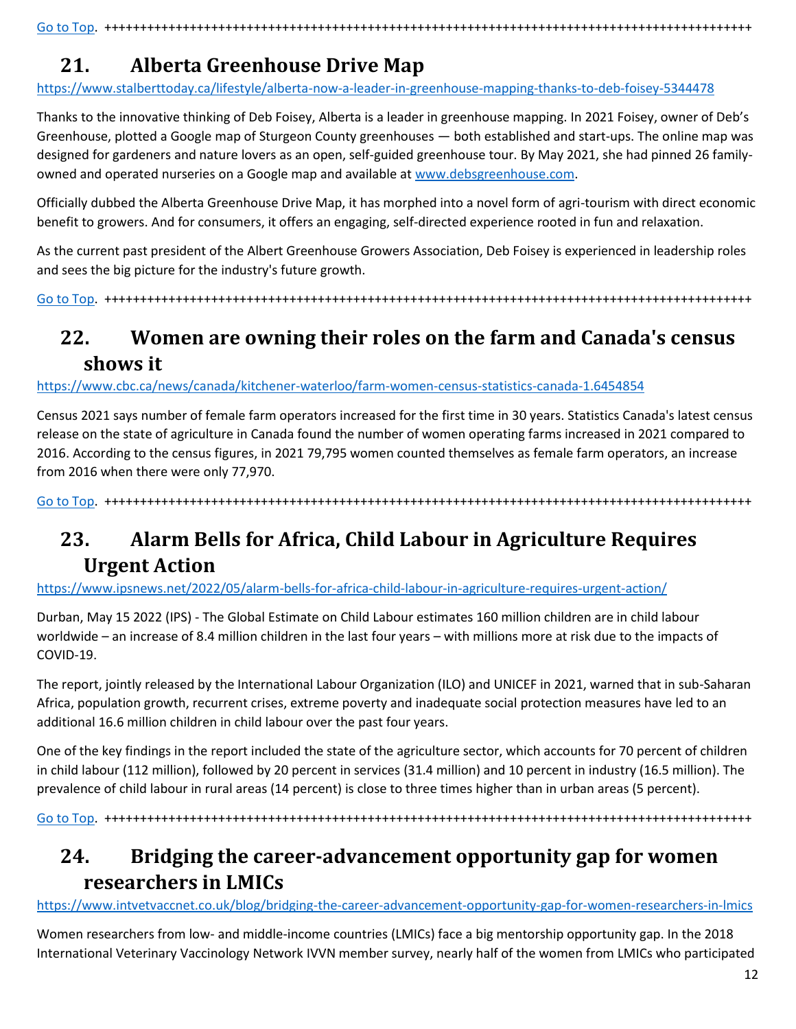# <span id="page-11-0"></span>**21. Alberta Greenhouse Drive Map**

<https://www.stalberttoday.ca/lifestyle/alberta-now-a-leader-in-greenhouse-mapping-thanks-to-deb-foisey-5344478>

Thanks to the innovative thinking of Deb Foisey, Alberta is a leader in greenhouse mapping. In 2021 Foisey, owner of Deb's Greenhouse, plotted a Google map of Sturgeon County greenhouses — both established and start-ups. The online map was designed for gardeners and nature lovers as an open, self-guided greenhouse tour. By May 2021, she had pinned 26 familyowned and operated nurseries on a Google map and available at [www.debsgreenhouse.com.](http://www.debsgreenhouse.com/)

Officially dubbed the Alberta Greenhouse Drive Map, it has morphed into a novel form of agri-tourism with direct economic benefit to growers. And for consumers, it offers an engaging, self-directed experience rooted in fun and relaxation.

As the current past president of the Albert Greenhouse Growers Association, Deb Foisey is experienced in leadership roles and sees the big picture for the industry's future growth.

[Go to Top.](#page-0-0) +++++++++++++++++++++++++++++++++++++++++++++++++++++++++++++++++++++++++++++++++++++++++++

# <span id="page-11-1"></span>**22. Women are owning their roles on the farm and Canada's census shows it**

<https://www.cbc.ca/news/canada/kitchener-waterloo/farm-women-census-statistics-canada-1.6454854>

Census 2021 says number of female farm operators increased for the first time in 30 years. Statistics Canada's latest census release on the state of agriculture in Canada found the number of women operating farms increased in 2021 compared to 2016. According to the census figures, in 2021 79,795 women counted themselves as female farm operators, an increase from 2016 when there were only 77,970.

[Go to Top.](#page-0-0) +++++++++++++++++++++++++++++++++++++++++++++++++++++++++++++++++++++++++++++++++++++++++++

# <span id="page-11-2"></span>**23. Alarm Bells for Africa, Child Labour in Agriculture Requires Urgent Action**

<https://www.ipsnews.net/2022/05/alarm-bells-for-africa-child-labour-in-agriculture-requires-urgent-action/>

Durban, May 15 2022 (IPS) - The Global Estimate on Child Labour estimates 160 million children are in child labour worldwide – an increase of 8.4 million children in the last four years – with millions more at risk due to the impacts of COVID-19.

The report, jointly released by the International Labour Organization (ILO) and UNICEF in 2021, warned that in sub-Saharan Africa, population growth, recurrent crises, extreme poverty and inadequate social protection measures have led to an additional 16.6 million children in child labour over the past four years.

One of the key findings in the report included the state of the agriculture sector, which accounts for 70 percent of children in child labour (112 million), followed by 20 percent in services (31.4 million) and 10 percent in industry (16.5 million). The prevalence of child labour in rural areas (14 percent) is close to three times higher than in urban areas (5 percent).

[Go to Top.](#page-0-0) +++++++++++++++++++++++++++++++++++++++++++++++++++++++++++++++++++++++++++++++++++++++++++

# <span id="page-11-3"></span>**24. Bridging the career-advancement opportunity gap for women researchers in LMICs**

<https://www.intvetvaccnet.co.uk/blog/bridging-the-career-advancement-opportunity-gap-for-women-researchers-in-lmics>

Women researchers from low- and middle-income countries (LMICs) face a big mentorship opportunity gap. In the 2018 International Veterinary Vaccinology Network IVVN member survey, nearly half of the women from LMICs who participated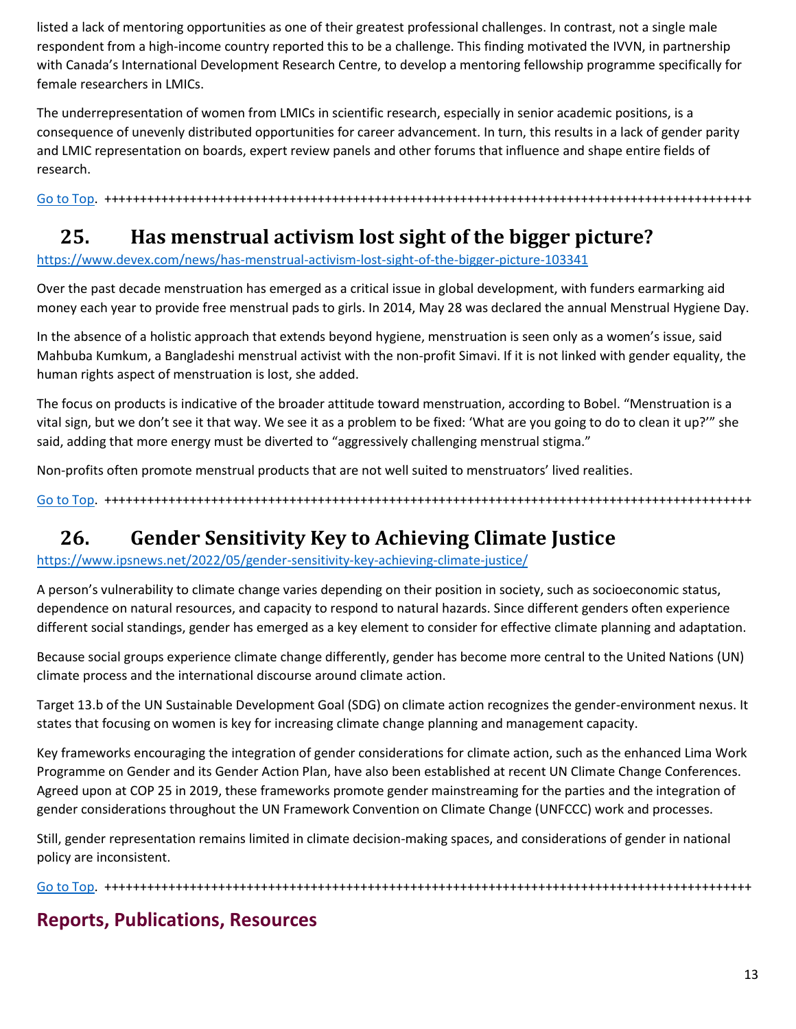listed a lack of mentoring opportunities as one of their greatest professional challenges. In contrast, not a single male respondent from a high-income country reported this to be a challenge. This finding motivated the IVVN, in partnership with Canada's International Development Research Centre, to develop a mentoring fellowship programme specifically for female researchers in LMICs.

The underrepresentation of women from LMICs in scientific research, especially in senior academic positions, is a consequence of unevenly distributed opportunities for career advancement. In turn, this results in a lack of gender parity and LMIC representation on boards, expert review panels and other forums that influence and shape entire fields of research.

[Go to Top.](#page-0-0) +++++++++++++++++++++++++++++++++++++++++++++++++++++++++++++++++++++++++++++++++++++++++++

### <span id="page-12-0"></span>**25. Has menstrual activism lost sight of the bigger picture?**

<https://www.devex.com/news/has-menstrual-activism-lost-sight-of-the-bigger-picture-103341>

Over the past decade menstruation has emerged as a critical issue in global development, with funders earmarking aid money each year to provide free menstrual pads to girls. In 2014, May 28 was declared the annual Menstrual Hygiene Day.

In the absence of a holistic approach that extends beyond hygiene, menstruation is seen only as a women's issue, said Mahbuba Kumkum, a Bangladeshi menstrual activist with the non-profit Simavi. If it is not linked with gender equality, the human rights aspect of menstruation is lost, she added.

The focus on products is indicative of the broader attitude toward menstruation, according to Bobel. "Menstruation is a vital sign, but we don't see it that way. We see it as a problem to be fixed: 'What are you going to do to clean it up?'" she said, adding that more energy must be diverted to "aggressively challenging menstrual stigma."

Non-profits often promote menstrual products that are not well suited to menstruators' lived realities.

[Go to Top.](#page-0-0) +++++++++++++++++++++++++++++++++++++++++++++++++++++++++++++++++++++++++++++++++++++++++++

#### <span id="page-12-1"></span>**26. Gender Sensitivity Key to Achieving Climate Justice**

<https://www.ipsnews.net/2022/05/gender-sensitivity-key-achieving-climate-justice/>

A person's vulnerability to climate change varies depending on their position in society, such as socioeconomic status, dependence on natural resources, and capacity to respond to natural hazards. Since different genders often experience different social standings, gender has emerged as a key element to consider for effective climate planning and adaptation.

Because social groups experience climate change differently, gender has become more central to the United Nations (UN) climate process and the international discourse around climate action.

Target 13.b of the UN Sustainable Development Goal (SDG) on climate action recognizes the gender-environment nexus. It states that focusing on women is key for increasing climate change planning and management capacity.

Key frameworks encouraging the integration of gender considerations for climate action, such as the enhanced Lima Work Programme on Gender and its Gender Action Plan, have also been established at recent UN Climate Change Conferences. Agreed upon at COP 25 in 2019, these frameworks promote gender mainstreaming for the parties and the integration of gender considerations throughout the UN Framework Convention on Climate Change (UNFCCC) work and processes.

Still, gender representation remains limited in climate decision-making spaces, and considerations of gender in national policy are inconsistent.

[Go to Top.](#page-0-0) +++++++++++++++++++++++++++++++++++++++++++++++++++++++++++++++++++++++++++++++++++++++++++

#### **Reports, Publications, Resources**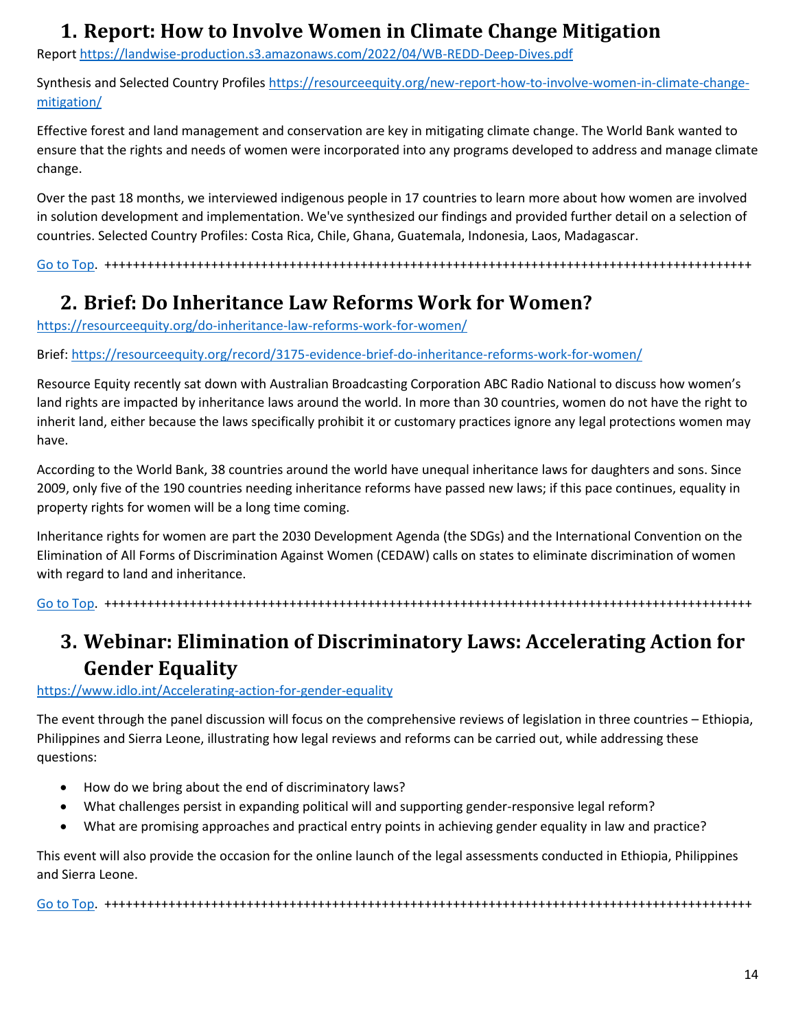#### **1. Report: How to Involve Women in Climate Change Mitigation**

<span id="page-13-0"></span>Repor[t https://landwise-production.s3.amazonaws.com/2022/04/WB-REDD-Deep-Dives.pdf](https://landwise-production.s3.amazonaws.com/2022/04/WB-REDD-Deep-Dives.pdf)

Synthesis and Selected Country Profiles [https://resourceequity.org/new-report-how-to-involve-women-in-climate-change](https://resourceequity.org/new-report-how-to-involve-women-in-climate-change-mitigation/)[mitigation/](https://resourceequity.org/new-report-how-to-involve-women-in-climate-change-mitigation/)

Effective forest and land management and conservation are key in mitigating climate change. The World Bank wanted to ensure that the rights and needs of women were incorporated into any programs developed to address and manage climate change.

Over the past 18 months, we interviewed indigenous people in 17 countries to learn more about how women are involved in solution development and implementation. We've synthesized our findings and provided further detail on a selection of countries. Selected Country Profiles: Costa Rica, Chile, Ghana, Guatemala, Indonesia, Laos, Madagascar.

[Go to Top.](#page-0-0) +++++++++++++++++++++++++++++++++++++++++++++++++++++++++++++++++++++++++++++++++++++++++++

#### <span id="page-13-1"></span>**2. Brief: Do Inheritance Law Reforms Work for Women?**

<https://resourceequity.org/do-inheritance-law-reforms-work-for-women/>

Brief:<https://resourceequity.org/record/3175-evidence-brief-do-inheritance-reforms-work-for-women/>

Resource Equity recently sat down with Australian Broadcasting Corporation ABC Radio National to discuss how women's land rights are impacted by inheritance laws around the world. In more than 30 countries, women do not have the right to inherit land, either because the laws specifically prohibit it or customary practices ignore any legal protections women may have.

According to the World Bank, 38 countries around the world have unequal inheritance laws for daughters and sons. Since 2009, only five of the 190 countries needing inheritance reforms have passed new laws; if this pace continues, equality in property rights for women will be a long time coming.

Inheritance rights for women are part the 2030 Development Agenda (the SDGs) and the International Convention on the Elimination of All Forms of Discrimination Against Women (CEDAW) calls on states to eliminate discrimination of women with regard to land and inheritance.

[Go to Top.](#page-0-0) +++++++++++++++++++++++++++++++++++++++++++++++++++++++++++++++++++++++++++++++++++++++++++

# <span id="page-13-2"></span>**3. Webinar: Elimination of Discriminatory Laws: Accelerating Action for Gender Equality**

#### <https://www.idlo.int/Accelerating-action-for-gender-equality>

The event through the panel discussion will focus on the comprehensive reviews of legislation in three countries – Ethiopia, Philippines and Sierra Leone, illustrating how legal reviews and reforms can be carried out, while addressing these questions:

- How do we bring about the end of discriminatory laws?
- What challenges persist in expanding political will and supporting gender-responsive legal reform?
- What are promising approaches and practical entry points in achieving gender equality in law and practice?

This event will also provide the occasion for the online launch of the legal assessments conducted in Ethiopia, Philippines and Sierra Leone.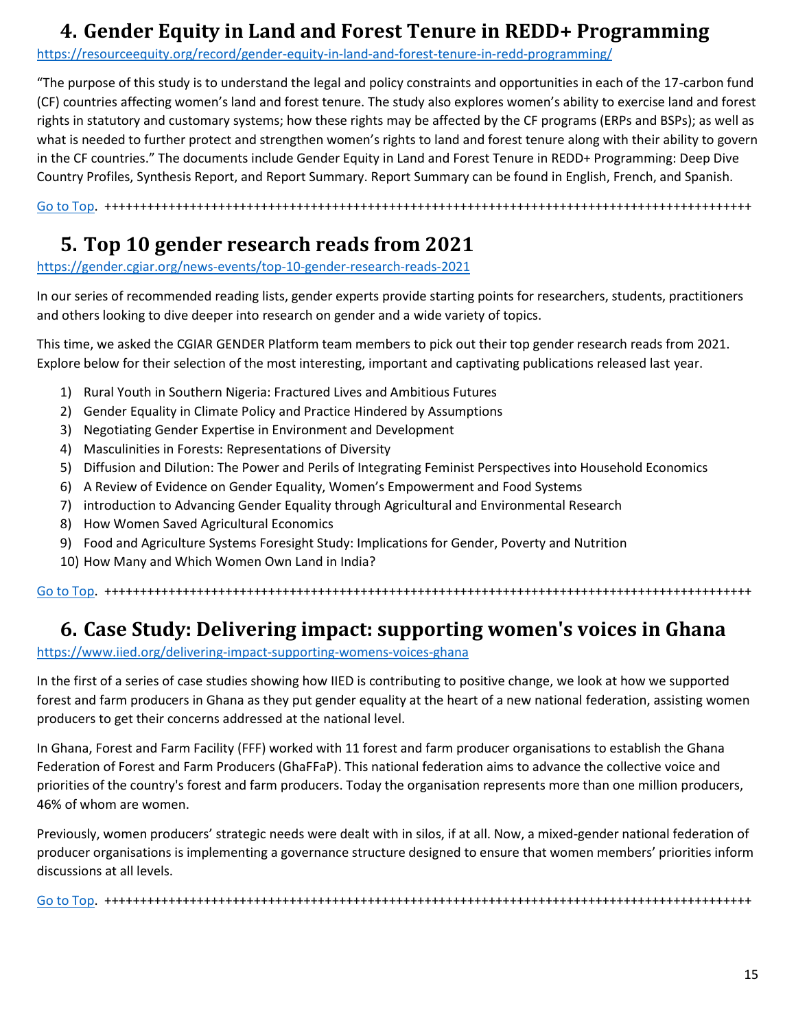### <span id="page-14-0"></span>**4. Gender Equity in Land and Forest Tenure in REDD+ Programming**

<https://resourceequity.org/record/gender-equity-in-land-and-forest-tenure-in-redd-programming/>

"The purpose of this study is to understand the legal and policy constraints and opportunities in each of the 17-carbon fund (CF) countries affecting women's land and forest tenure. The study also explores women's ability to exercise land and forest rights in statutory and customary systems; how these rights may be affected by the CF programs (ERPs and BSPs); as well as what is needed to further protect and strengthen women's rights to land and forest tenure along with their ability to govern in the CF countries." The documents include Gender Equity in Land and Forest Tenure in REDD+ Programming: Deep Dive Country Profiles, Synthesis Report, and Report Summary. Report Summary can be found in English, French, and Spanish.

[Go to Top.](#page-0-0) +++++++++++++++++++++++++++++++++++++++++++++++++++++++++++++++++++++++++++++++++++++++++++

### <span id="page-14-1"></span>**5. Top 10 gender research reads from 2021**

<https://gender.cgiar.org/news-events/top-10-gender-research-reads-2021>

In our series of recommended reading lists, gender experts provide starting points for researchers, students, practitioners and others looking to dive deeper into research on gender and a wide variety of topics.

This time, we asked the CGIAR GENDER Platform team members to pick out their top gender research reads from 2021. Explore below for their selection of the most interesting, important and captivating publications released last year.

- 1) Rural Youth in Southern Nigeria: Fractured Lives and Ambitious Futures
- 2) Gender Equality in Climate Policy and Practice Hindered by Assumptions
- 3) Negotiating Gender Expertise in Environment and Development
- 4) Masculinities in Forests: Representations of Diversity
- 5) Diffusion and Dilution: The Power and Perils of Integrating Feminist Perspectives into Household Economics
- 6) A Review of Evidence on Gender Equality, Women's Empowerment and Food Systems
- 7) introduction to Advancing Gender Equality through Agricultural and Environmental Research
- 8) How Women Saved Agricultural Economics
- 9) Food and Agriculture Systems Foresight Study: Implications for Gender, Poverty and Nutrition
- 10) How Many and Which Women Own Land in India?

[Go to Top.](#page-0-0) +++++++++++++++++++++++++++++++++++++++++++++++++++++++++++++++++++++++++++++++++++++++++++

#### <span id="page-14-2"></span>**6. Case Study: Delivering impact: supporting women's voices in Ghana**

<https://www.iied.org/delivering-impact-supporting-womens-voices-ghana>

In the first of a series of case studies showing how IIED is contributing to positive change, we look at how we supported forest and farm producers in Ghana as they put gender equality at the heart of a new national federation, assisting women producers to get their concerns addressed at the national level.

In Ghana, Forest and Farm Facility (FFF) worked with 11 forest and farm producer organisations to establish the Ghana Federation of Forest and Farm Producers (GhaFFaP). This national federation aims to advance the collective voice and priorities of the country's forest and farm producers. Today the organisation represents more than one million producers, 46% of whom are women.

Previously, women producers' strategic needs were dealt with in silos, if at all. Now, a mixed-gender national federation of producer organisations is implementing a governance structure designed to ensure that women members' priorities inform discussions at all levels.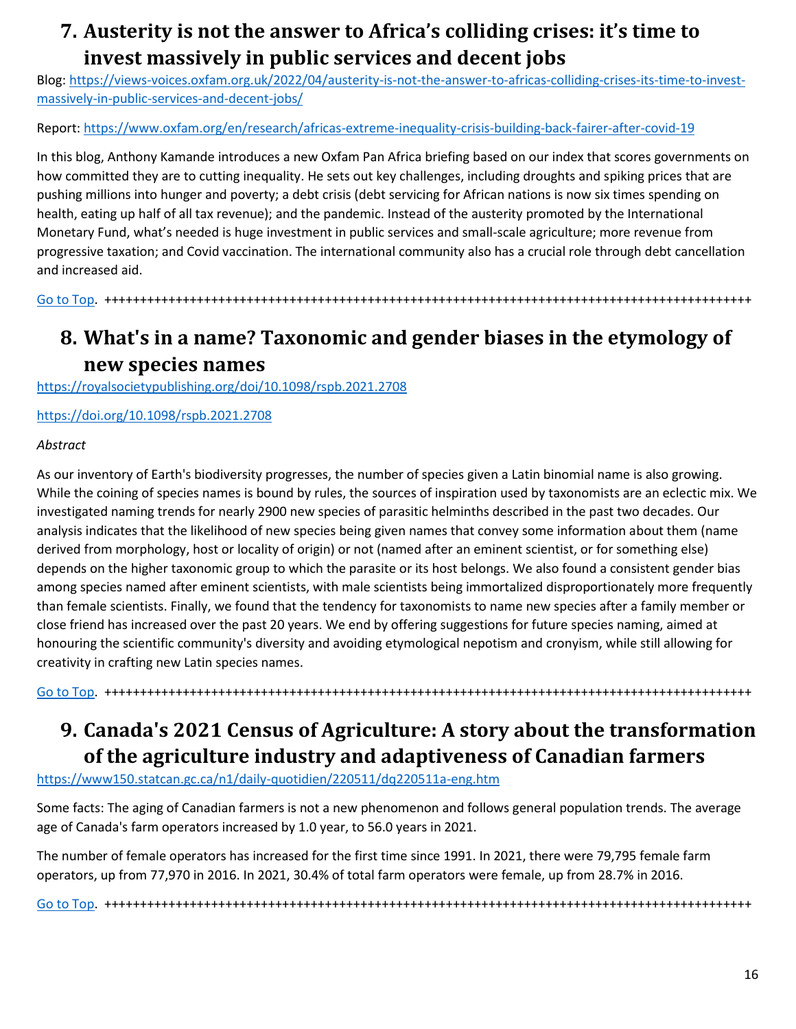### <span id="page-15-0"></span>**7. Austerity is not the answer to Africa's colliding crises: it's time to invest massively in public services and decent jobs**

Blog: [https://views-voices.oxfam.org.uk/2022/04/austerity-is-not-the-answer-to-africas-colliding-crises-its-time-to-invest](https://views-voices.oxfam.org.uk/2022/04/austerity-is-not-the-answer-to-africas-colliding-crises-its-time-to-invest-massively-in-public-services-and-decent-jobs/)[massively-in-public-services-and-decent-jobs/](https://views-voices.oxfam.org.uk/2022/04/austerity-is-not-the-answer-to-africas-colliding-crises-its-time-to-invest-massively-in-public-services-and-decent-jobs/)

Report:<https://www.oxfam.org/en/research/africas-extreme-inequality-crisis-building-back-fairer-after-covid-19>

In this blog, Anthony Kamande introduces a new Oxfam Pan Africa briefing based on our index that scores governments on how committed they are to cutting inequality. He sets out key challenges, including droughts and spiking prices that are pushing millions into hunger and poverty; a debt crisis (debt servicing for African nations is now six times spending on health, eating up half of all tax revenue); and the pandemic. Instead of the austerity promoted by the International Monetary Fund, what's needed is huge investment in public services and small-scale agriculture; more revenue from progressive taxation; and Covid vaccination. The international community also has a crucial role through debt cancellation and increased aid.

[Go to Top.](#page-0-0) +++++++++++++++++++++++++++++++++++++++++++++++++++++++++++++++++++++++++++++++++++++++++++

# <span id="page-15-1"></span>**8. What's in a name? Taxonomic and gender biases in the etymology of new species names**

<https://royalsocietypublishing.org/doi/10.1098/rspb.2021.2708>

<https://doi.org/10.1098/rspb.2021.2708>

#### *Abstract*

As our inventory of Earth's biodiversity progresses, the number of species given a Latin binomial name is also growing. While the coining of species names is bound by rules, the sources of inspiration used by taxonomists are an eclectic mix. We investigated naming trends for nearly 2900 new species of parasitic helminths described in the past two decades. Our analysis indicates that the likelihood of new species being given names that convey some information about them (name derived from morphology, host or locality of origin) or not (named after an eminent scientist, or for something else) depends on the higher taxonomic group to which the parasite or its host belongs. We also found a consistent gender bias among species named after eminent scientists, with male scientists being immortalized disproportionately more frequently than female scientists. Finally, we found that the tendency for taxonomists to name new species after a family member or close friend has increased over the past 20 years. We end by offering suggestions for future species naming, aimed at honouring the scientific community's diversity and avoiding etymological nepotism and cronyism, while still allowing for creativity in crafting new Latin species names.

# <span id="page-15-2"></span>**9. Canada's 2021 Census of Agriculture: A story about the transformation of the agriculture industry and adaptiveness of Canadian farmers**

[Go to Top.](#page-0-0) +++++++++++++++++++++++++++++++++++++++++++++++++++++++++++++++++++++++++++++++++++++++++++

<https://www150.statcan.gc.ca/n1/daily-quotidien/220511/dq220511a-eng.htm>

Some facts: The aging of Canadian farmers is not a new phenomenon and follows general population trends. The average age of Canada's farm operators increased by 1.0 year, to 56.0 years in 2021.

The number of female operators has increased for the first time since 1991. In 2021, there were 79,795 female farm operators, up from 77,970 in 2016. In 2021, 30.4% of total farm operators were female, up from 28.7% in 2016.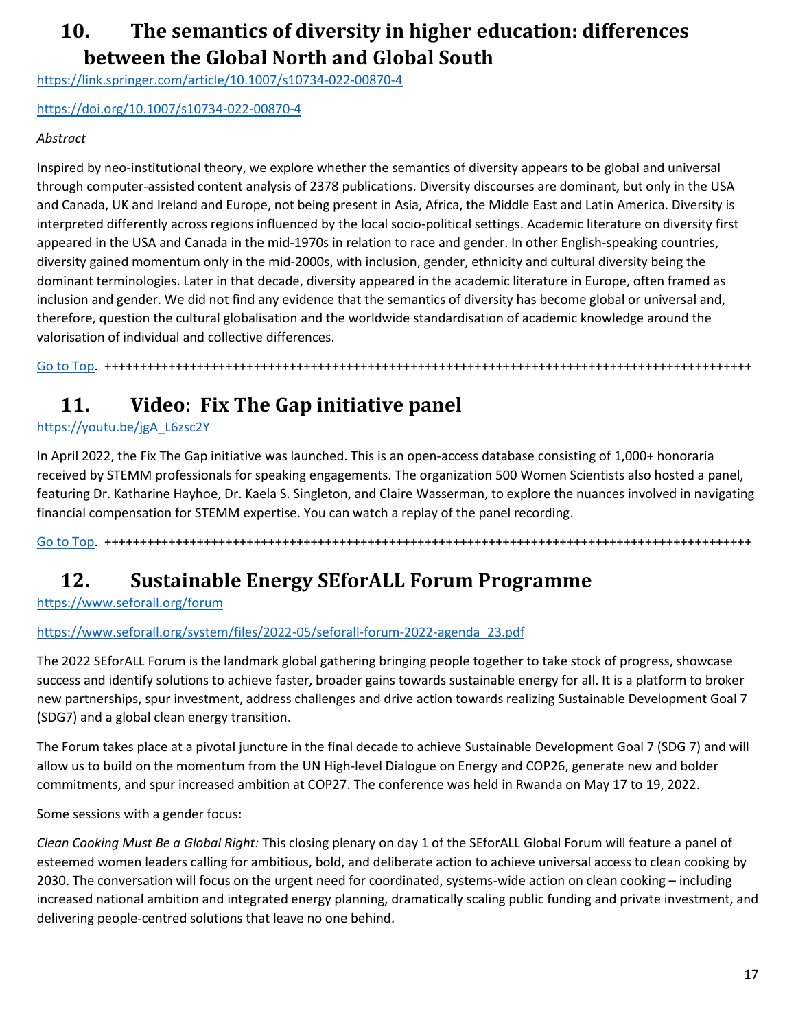### <span id="page-16-0"></span>**10. The semantics of diversity in higher education: differences between the Global North and Global South**

<https://link.springer.com/article/10.1007/s10734-022-00870-4>

<https://doi.org/10.1007/s10734-022-00870-4>

#### *Abstract*

Inspired by neo-institutional theory, we explore whether the semantics of diversity appears to be global and universal through computer-assisted content analysis of 2378 publications. Diversity discourses are dominant, but only in the USA and Canada, UK and Ireland and Europe, not being present in Asia, Africa, the Middle East and Latin America. Diversity is interpreted differently across regions influenced by the local socio-political settings. Academic literature on diversity first appeared in the USA and Canada in the mid-1970s in relation to race and gender. In other English-speaking countries, diversity gained momentum only in the mid-2000s, with inclusion, gender, ethnicity and cultural diversity being the dominant terminologies. Later in that decade, diversity appeared in the academic literature in Europe, often framed as inclusion and gender. We did not find any evidence that the semantics of diversity has become global or universal and, therefore, question the cultural globalisation and the worldwide standardisation of academic knowledge around the valorisation of individual and collective differences.

[Go to Top.](#page-0-0) +++++++++++++++++++++++++++++++++++++++++++++++++++++++++++++++++++++++++++++++++++++++++++

### <span id="page-16-1"></span>**11. Video: Fix The Gap initiative panel**

[https://youtu.be/jgA\\_L6zsc2Y](https://youtu.be/jgA_L6zsc2Y)

In April 2022, the Fix The Gap initiative was launched. This is an open-access database consisting of 1,000+ honoraria received by STEMM professionals for speaking engagements. The organization 500 Women Scientists also hosted a panel, featuring Dr. Katharine Hayhoe, Dr. Kaela S. Singleton, and Claire Wasserman, to explore the nuances involved in navigating financial compensation for STEMM expertise. You can watch a replay of the panel recording.

[Go to Top.](#page-0-0) +++++++++++++++++++++++++++++++++++++++++++++++++++++++++++++++++++++++++++++++++++++++++++

#### <span id="page-16-2"></span>**12. Sustainable Energy SEforALL Forum Programme**

<https://www.seforall.org/forum>

#### [https://www.seforall.org/system/files/2022-05/seforall-forum-2022-agenda\\_23.pdf](https://www.seforall.org/system/files/2022-05/seforall-forum-2022-agenda_23.pdf)

The 2022 SEforALL Forum is the landmark global gathering bringing people together to take stock of progress, showcase success and identify solutions to achieve faster, broader gains towards sustainable energy for all. It is a platform to broker new partnerships, spur investment, address challenges and drive action towards realizing Sustainable Development Goal 7 (SDG7) and a global clean energy transition.

The Forum takes place at a pivotal juncture in the final decade to achieve Sustainable Development Goal 7 (SDG 7) and will allow us to build on the momentum from the UN High-level Dialogue on Energy and COP26, generate new and bolder commitments, and spur increased ambition at COP27. The conference was held in Rwanda on May 17 to 19, 2022.

Some sessions with a gender focus:

*Clean Cooking Must Be a Global Right:* This closing plenary on day 1 of the SEforALL Global Forum will feature a panel of esteemed women leaders calling for ambitious, bold, and deliberate action to achieve universal access to clean cooking by 2030. The conversation will focus on the urgent need for coordinated, systems-wide action on clean cooking – including increased national ambition and integrated energy planning, dramatically scaling public funding and private investment, and delivering people-centred solutions that leave no one behind.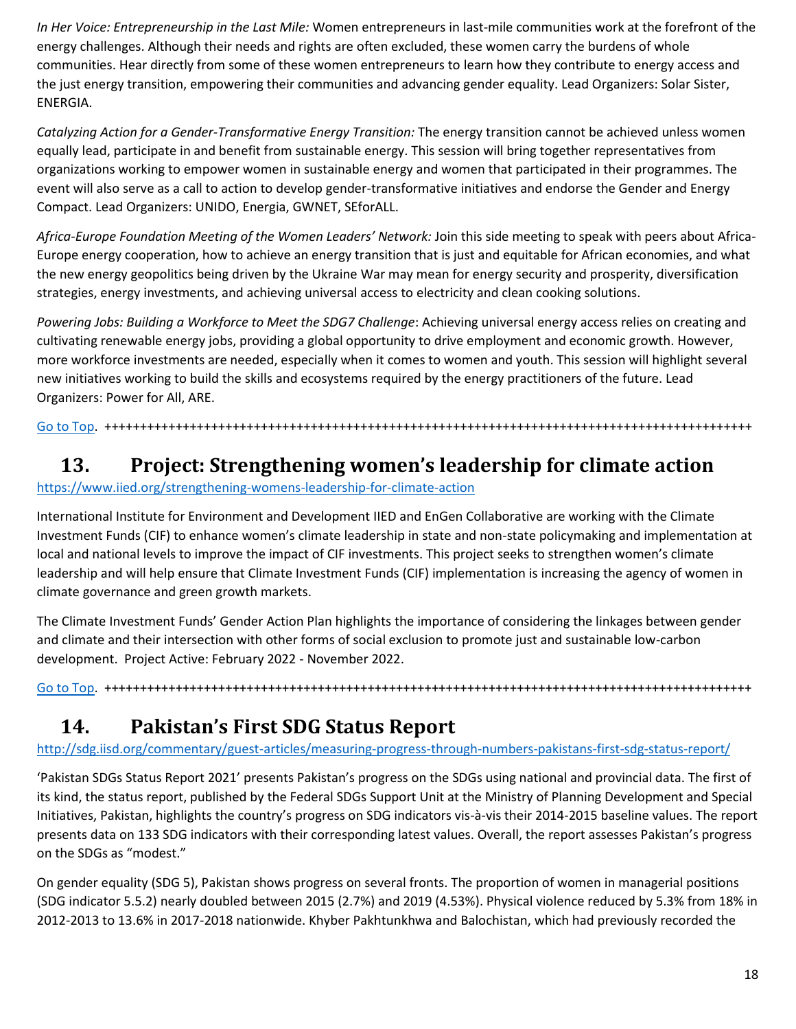*In Her Voice: Entrepreneurship in the Last Mile:* Women entrepreneurs in last-mile communities work at the forefront of the energy challenges. Although their needs and rights are often excluded, these women carry the burdens of whole communities. Hear directly from some of these women entrepreneurs to learn how they contribute to energy access and the just energy transition, empowering their communities and advancing gender equality. Lead Organizers: Solar Sister, ENERGIA.

*Catalyzing Action for a Gender-Transformative Energy Transition:* The energy transition cannot be achieved unless women equally lead, participate in and benefit from sustainable energy. This session will bring together representatives from organizations working to empower women in sustainable energy and women that participated in their programmes. The event will also serve as a call to action to develop gender-transformative initiatives and endorse the Gender and Energy Compact. Lead Organizers: UNIDO, Energia, GWNET, SEforALL.

*Africa-Europe Foundation Meeting of the Women Leaders' Network:* Join this side meeting to speak with peers about Africa-Europe energy cooperation, how to achieve an energy transition that is just and equitable for African economies, and what the new energy geopolitics being driven by the Ukraine War may mean for energy security and prosperity, diversification strategies, energy investments, and achieving universal access to electricity and clean cooking solutions.

*Powering Jobs: Building a Workforce to Meet the SDG7 Challenge*: Achieving universal energy access relies on creating and cultivating renewable energy jobs, providing a global opportunity to drive employment and economic growth. However, more workforce investments are needed, especially when it comes to women and youth. This session will highlight several new initiatives working to build the skills and ecosystems required by the energy practitioners of the future. Lead Organizers: Power for All, ARE.

[Go to Top.](#page-0-0) +++++++++++++++++++++++++++++++++++++++++++++++++++++++++++++++++++++++++++++++++++++++++++

### <span id="page-17-0"></span>**13. Project: Strengthening women's leadership for climate action**

#### <https://www.iied.org/strengthening-womens-leadership-for-climate-action>

International Institute for Environment and Development IIED and EnGen Collaborative are working with the Climate Investment Funds (CIF) to enhance women's climate leadership in state and non-state policymaking and implementation at local and national levels to improve the impact of CIF investments. This project seeks to strengthen women's climate leadership and will help ensure that Climate Investment Funds (CIF) implementation is increasing the agency of women in climate governance and green growth markets.

The Climate Investment Funds' Gender Action Plan highlights the importance of considering the linkages between gender and climate and their intersection with other forms of social exclusion to promote just and sustainable low-carbon development. Project Active: February 2022 - November 2022.

[Go to Top.](#page-0-0) +++++++++++++++++++++++++++++++++++++++++++++++++++++++++++++++++++++++++++++++++++++++++++

### <span id="page-17-1"></span>**14. Pakistan's First SDG Status Report**

<http://sdg.iisd.org/commentary/guest-articles/measuring-progress-through-numbers-pakistans-first-sdg-status-report/>

'Pakistan SDGs Status Report 2021' presents Pakistan's progress on the SDGs using national and provincial data. The first of its kind, the status report, published by the Federal SDGs Support Unit at the Ministry of Planning Development and Special Initiatives, Pakistan, highlights the country's progress on SDG indicators vis-à-vis their 2014-2015 baseline values. The report presents data on 133 SDG indicators with their corresponding latest values. Overall, the report assesses Pakistan's progress on the SDGs as "modest."

On gender equality (SDG 5), Pakistan shows progress on several fronts. The proportion of women in managerial positions (SDG indicator 5.5.2) nearly doubled between 2015 (2.7%) and 2019 (4.53%). Physical violence reduced by 5.3% from 18% in 2012-2013 to 13.6% in 2017-2018 nationwide. Khyber Pakhtunkhwa and Balochistan, which had previously recorded the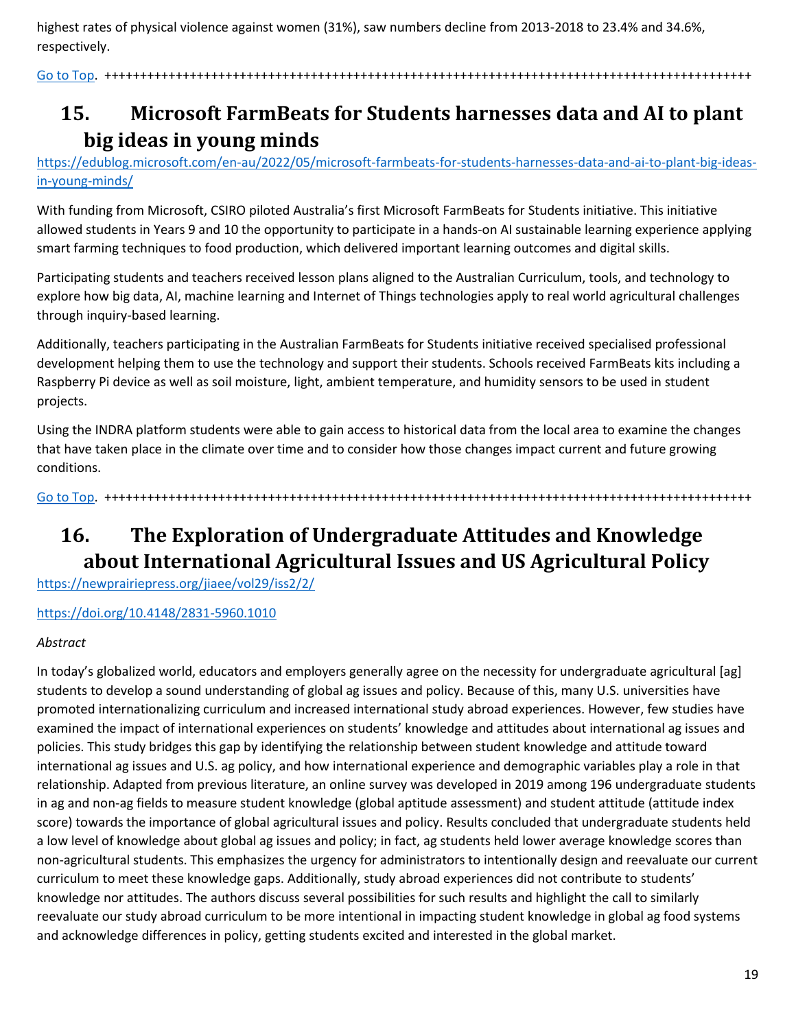highest rates of physical violence against women (31%), saw numbers decline from 2013-2018 to 23.4% and 34.6%, respectively.

[Go to Top.](#page-0-0) +++++++++++++++++++++++++++++++++++++++++++++++++++++++++++++++++++++++++++++++++++++++++++

# <span id="page-18-0"></span>**15. Microsoft FarmBeats for Students harnesses data and AI to plant big ideas in young minds**

[https://edublog.microsoft.com/en-au/2022/05/microsoft-farmbeats-for-students-harnesses-data-and-ai-to-plant-big-ideas](https://edublog.microsoft.com/en-au/2022/05/microsoft-farmbeats-for-students-harnesses-data-and-ai-to-plant-big-ideas-in-young-minds/)[in-young-minds/](https://edublog.microsoft.com/en-au/2022/05/microsoft-farmbeats-for-students-harnesses-data-and-ai-to-plant-big-ideas-in-young-minds/)

With funding from Microsoft, CSIRO piloted Australia's first Microsoft FarmBeats for Students initiative. This initiative allowed students in Years 9 and 10 the opportunity to participate in a hands-on AI sustainable learning experience applying smart farming techniques to food production, which delivered important learning outcomes and digital skills.

Participating students and teachers received lesson plans aligned to the Australian Curriculum, tools, and technology to explore how big data, AI, machine learning and Internet of Things technologies apply to real world agricultural challenges through inquiry-based learning.

Additionally, teachers participating in the Australian FarmBeats for Students initiative received specialised professional development helping them to use the technology and support their students. Schools received FarmBeats kits including a Raspberry Pi device as well as soil moisture, light, ambient temperature, and humidity sensors to be used in student projects.

Using the INDRA platform students were able to gain access to historical data from the local area to examine the changes that have taken place in the climate over time and to consider how those changes impact current and future growing conditions.

[Go to Top.](#page-0-0) +++++++++++++++++++++++++++++++++++++++++++++++++++++++++++++++++++++++++++++++++++++++++++

# <span id="page-18-1"></span>**16. The Exploration of Undergraduate Attitudes and Knowledge about International Agricultural Issues and US Agricultural Policy**

<https://newprairiepress.org/jiaee/vol29/iss2/2/>

<https://doi.org/10.4148/2831-5960.1010>

#### *Abstract*

In today's globalized world, educators and employers generally agree on the necessity for undergraduate agricultural [ag] students to develop a sound understanding of global ag issues and policy. Because of this, many U.S. universities have promoted internationalizing curriculum and increased international study abroad experiences. However, few studies have examined the impact of international experiences on students' knowledge and attitudes about international ag issues and policies. This study bridges this gap by identifying the relationship between student knowledge and attitude toward international ag issues and U.S. ag policy, and how international experience and demographic variables play a role in that relationship. Adapted from previous literature, an online survey was developed in 2019 among 196 undergraduate students in ag and non-ag fields to measure student knowledge (global aptitude assessment) and student attitude (attitude index score) towards the importance of global agricultural issues and policy. Results concluded that undergraduate students held a low level of knowledge about global ag issues and policy; in fact, ag students held lower average knowledge scores than non-agricultural students. This emphasizes the urgency for administrators to intentionally design and reevaluate our current curriculum to meet these knowledge gaps. Additionally, study abroad experiences did not contribute to students' knowledge nor attitudes. The authors discuss several possibilities for such results and highlight the call to similarly reevaluate our study abroad curriculum to be more intentional in impacting student knowledge in global ag food systems and acknowledge differences in policy, getting students excited and interested in the global market.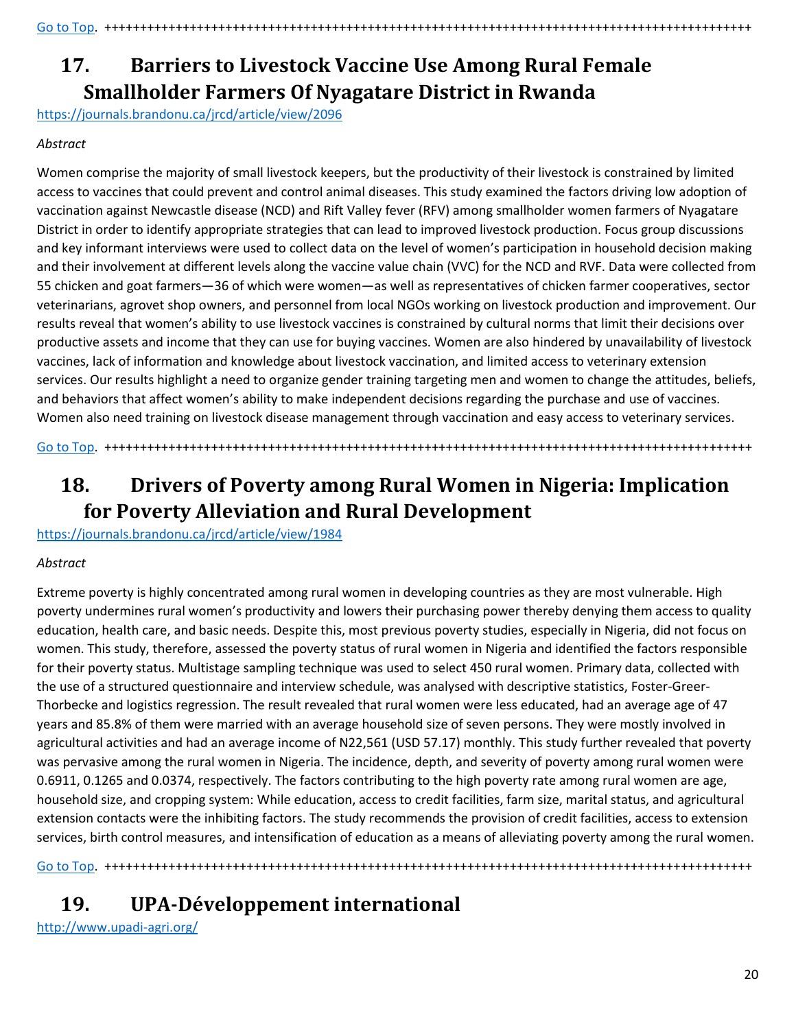# <span id="page-19-0"></span>**17. Barriers to Livestock Vaccine Use Among Rural Female Smallholder Farmers Of Nyagatare District in Rwanda**

<https://journals.brandonu.ca/jrcd/article/view/2096>

#### *Abstract*

Women comprise the majority of small livestock keepers, but the productivity of their livestock is constrained by limited access to vaccines that could prevent and control animal diseases. This study examined the factors driving low adoption of vaccination against Newcastle disease (NCD) and Rift Valley fever (RFV) among smallholder women farmers of Nyagatare District in order to identify appropriate strategies that can lead to improved livestock production. Focus group discussions and key informant interviews were used to collect data on the level of women's participation in household decision making and their involvement at different levels along the vaccine value chain (VVC) for the NCD and RVF. Data were collected from 55 chicken and goat farmers—36 of which were women—as well as representatives of chicken farmer cooperatives, sector veterinarians, agrovet shop owners, and personnel from local NGOs working on livestock production and improvement. Our results reveal that women's ability to use livestock vaccines is constrained by cultural norms that limit their decisions over productive assets and income that they can use for buying vaccines. Women are also hindered by unavailability of livestock vaccines, lack of information and knowledge about livestock vaccination, and limited access to veterinary extension services. Our results highlight a need to organize gender training targeting men and women to change the attitudes, beliefs, and behaviors that affect women's ability to make independent decisions regarding the purchase and use of vaccines. Women also need training on livestock disease management through vaccination and easy access to veterinary services.

[Go to Top.](#page-0-0) +++++++++++++++++++++++++++++++++++++++++++++++++++++++++++++++++++++++++++++++++++++++++++

# <span id="page-19-1"></span>**18. Drivers of Poverty among Rural Women in Nigeria: Implication for Poverty Alleviation and Rural Development**

<https://journals.brandonu.ca/jrcd/article/view/1984>

#### *Abstract*

Extreme poverty is highly concentrated among rural women in developing countries as they are most vulnerable. High poverty undermines rural women's productivity and lowers their purchasing power thereby denying them access to quality education, health care, and basic needs. Despite this, most previous poverty studies, especially in Nigeria, did not focus on women. This study, therefore, assessed the poverty status of rural women in Nigeria and identified the factors responsible for their poverty status. Multistage sampling technique was used to select 450 rural women. Primary data, collected with the use of a structured questionnaire and interview schedule, was analysed with descriptive statistics, Foster-Greer-Thorbecke and logistics regression. The result revealed that rural women were less educated, had an average age of 47 years and 85.8% of them were married with an average household size of seven persons. They were mostly involved in agricultural activities and had an average income of N22,561 (USD 57.17) monthly. This study further revealed that poverty was pervasive among the rural women in Nigeria. The incidence, depth, and severity of poverty among rural women were 0.6911, 0.1265 and 0.0374, respectively. The factors contributing to the high poverty rate among rural women are age, household size, and cropping system: While education, access to credit facilities, farm size, marital status, and agricultural extension contacts were the inhibiting factors. The study recommends the provision of credit facilities, access to extension services, birth control measures, and intensification of education as a means of alleviating poverty among the rural women.

[Go to Top.](#page-0-0) +++++++++++++++++++++++++++++++++++++++++++++++++++++++++++++++++++++++++++++++++++++++++++

# <span id="page-19-2"></span>**19. UPA-Développement international**

<http://www.upadi-agri.org/>